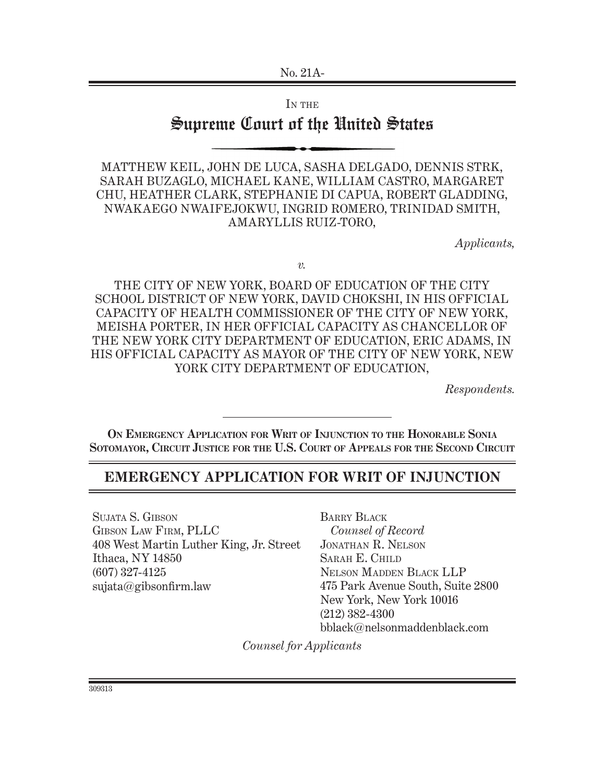IN THE

# Supreme Court of the United States

Matthew Keil, John De Luca, Sasha Delgado, Dennis Strk, Sarah Buzaglo, Michael Kane, William Castro, Margaret Chu, Heather Clark, Stephanie Di Capua, Robert Gladding, Nwakaego Nwaifejokwu, Ingrid Romero, Trinidad Smith, Amaryllis Ruiz-Toro,

*Applicants,*

*v.*

The City of New York, Board of Education of the City School District of New York, David Chokshi, in his official capacity of Health Commissioner of the City of New York, Meisha Porter, in her official capacity as Chancellor of the New York City Department of Education, Eric Adams, in his official capacity as Mayor of the City of New York, New YORK CITY DEPARTMENT OF EDUCATION,

*Respondents.*

**On Emergency Application for Writ of Injunction to the Honorable Sonia Sotomayor, Circuit Justice for the U.S. Court of Appeals for the Second Circuit**

## **Emergency Application for Writ of Injunction**

Sujata S. Gibson Gibson Law Firm, PLLC 408 West Martin Luther King, Jr. Street Ithaca, NY 14850 (607) 327-4125 sujata@gibsonfirm.law

Barry Black *Counsel of Record* Jonathan R. Nelson Sarah E. Child Nelson Madden Black LLP 475 Park Avenue South, Suite 2800 New York, New York 10016 (212) 382-4300 bblack@nelsonmaddenblack.com

*Counsel for Applicants*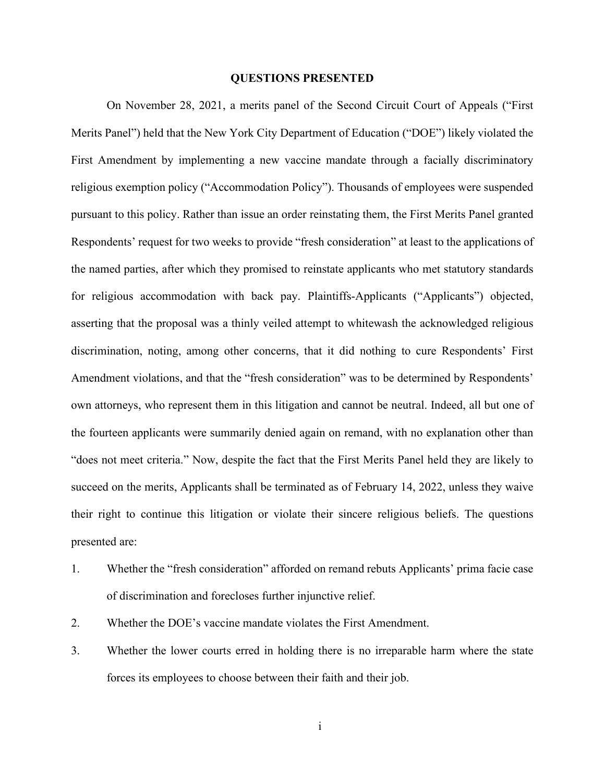#### **QUESTIONS PRESENTED**

On November 28, 2021, a merits panel of the Second Circuit Court of Appeals ("First Merits Panel") held that the New York City Department of Education ("DOE") likely violated the First Amendment by implementing a new vaccine mandate through a facially discriminatory religious exemption policy ("Accommodation Policy"). Thousands of employees were suspended pursuant to this policy. Rather than issue an order reinstating them, the First Merits Panel granted Respondents' request for two weeks to provide "fresh consideration" at least to the applications of the named parties, after which they promised to reinstate applicants who met statutory standards for religious accommodation with back pay. Plaintiffs-Applicants ("Applicants") objected, asserting that the proposal was a thinly veiled attempt to whitewash the acknowledged religious discrimination, noting, among other concerns, that it did nothing to cure Respondents' First Amendment violations, and that the "fresh consideration" was to be determined by Respondents' own attorneys, who represent them in this litigation and cannot be neutral. Indeed, all but one of the fourteen applicants were summarily denied again on remand, with no explanation other than "does not meet criteria." Now, despite the fact that the First Merits Panel held they are likely to succeed on the merits, Applicants shall be terminated as of February 14, 2022, unless they waive their right to continue this litigation or violate their sincere religious beliefs. The questions presented are:

- 1. Whether the "fresh consideration" afforded on remand rebuts Applicants' prima facie case of discrimination and forecloses further injunctive relief.
- 2. Whether the DOE's vaccine mandate violates the First Amendment.
- 3. Whether the lower courts erred in holding there is no irreparable harm where the state forces its employees to choose between their faith and their job.

i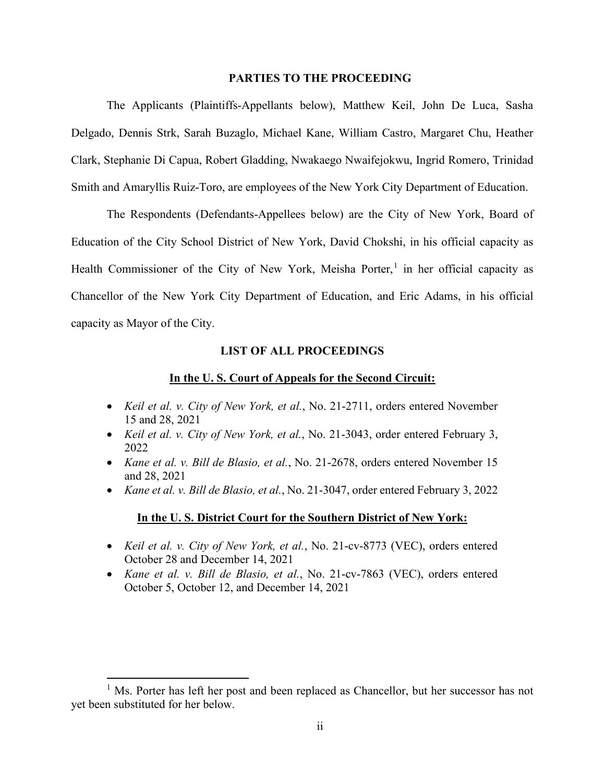#### **PARTIES TO THE PROCEEDING**

The Applicants (Plaintiffs-Appellants below), Matthew Keil, John De Luca, Sasha Delgado, Dennis Strk, Sarah Buzaglo, Michael Kane, William Castro, Margaret Chu, Heather Clark, Stephanie Di Capua, Robert Gladding, Nwakaego Nwaifejokwu, Ingrid Romero, Trinidad Smith and Amaryllis Ruiz-Toro, are employees of the New York City Department of Education.

The Respondents (Defendants-Appellees below) are the City of New York, Board of Education of the City School District of New York, David Chokshi, in his official capacity as Health Commissioner of the City of New York, Meisha Porter,<sup>[1](#page-2-0)</sup> in her official capacity as Chancellor of the New York City Department of Education, and Eric Adams, in his official capacity as Mayor of the City.

#### **LIST OF ALL PROCEEDINGS**

#### **In the U. S. Court of Appeals for the Second Circuit:**

- *Keil et al. v. City of New York, et al.*, No. 21-2711, orders entered November 15 and 28, 2021
- *Keil et al. v. City of New York, et al.*, No. 21-3043, order entered February 3, 2022
- *Kane et al. v. Bill de Blasio, et al.*, No. 21-2678, orders entered November 15 and 28, 2021
- *Kane et al. v. Bill de Blasio, et al.*, No. 21-3047, order entered February 3, 2022

### **In the U. S. District Court for the Southern District of New York:**

- *Keil et al. v. City of New York, et al.*, No. 21-cv-8773 (VEC), orders entered October 28 and December 14, 2021
- *Kane et al. v. Bill de Blasio, et al.*, No. 21-cv-7863 (VEC), orders entered October 5, October 12, and December 14, 2021

<span id="page-2-0"></span><sup>&</sup>lt;sup>1</sup> Ms. Porter has left her post and been replaced as Chancellor, but her successor has not yet been substituted for her below.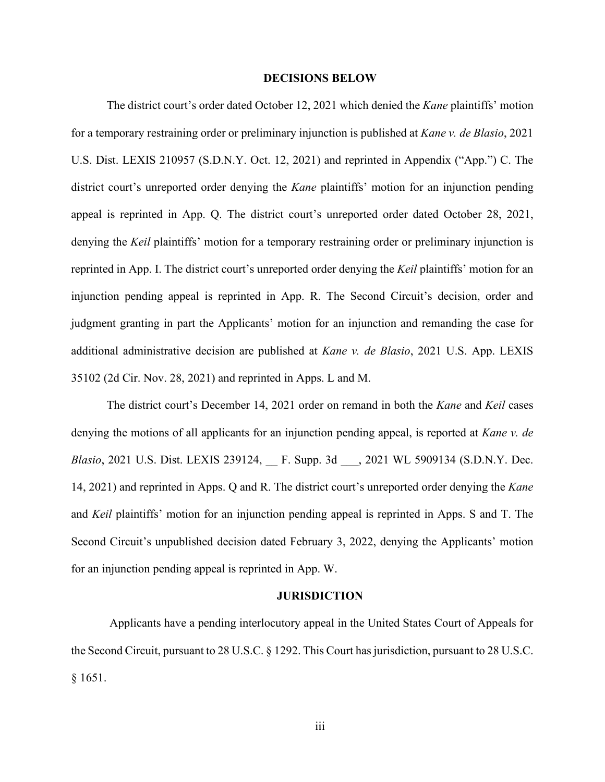#### <span id="page-3-1"></span>**DECISIONS BELOW**

The district court's order dated October 12, 2021 which denied the *Kane* plaintiffs' motion for a temporary restraining order or preliminary injunction is published at *Kane v. de Blasio*, 2021 U.S. Dist. LEXIS 210957 (S.D.N.Y. Oct. 12, 2021) and reprinted in Appendix ("App.") C. The district court's unreported order denying the *Kane* plaintiffs' motion for an injunction pending appeal is reprinted in App. Q. The district court's unreported order dated October 28, 2021, denying the *Keil* plaintiffs' motion for a temporary restraining order or preliminary injunction is reprinted in App. I. The district court's unreported order denying the *Keil* plaintiffs' motion for an injunction pending appeal is reprinted in App. R. The Second Circuit's decision, order and judgment granting in part the Applicants' motion for an injunction and remanding the case for additional administrative decision are published at *Kane v. de Blasio*, 2021 U.S. App. LEXIS 35102 (2d Cir. Nov. 28, 2021) and reprinted in Apps. L and M.

The district court's December 14, 2021 order on remand in both the *Kane* and *Keil* cases denying the motions of all applicants for an injunction pending appeal, is reported at *Kane v. de Blasio*, 2021 U.S. Dist. LEXIS 239124, \_\_ F. Supp. 3d \_\_\_, 2021 WL 5909134 (S.D.N.Y. Dec. 14, 2021) and reprinted in Apps. Q and R. The district court's unreported order denying the *Kane* and *Keil* plaintiffs' motion for an injunction pending appeal is reprinted in Apps. S and T. The Second Circuit's unpublished decision dated February 3, 2022, denying the Applicants' motion for an injunction pending appeal is reprinted in App. W.

#### <span id="page-3-3"></span><span id="page-3-2"></span><span id="page-3-0"></span>**JURISDICTION**

Applicants have a pending interlocutory appeal in the United States Court of Appeals for the Second Circuit, pursuant to 28 U.S.C. § 1292. This Court hasjurisdiction, pursuant to 28 U.S.C. § 1651.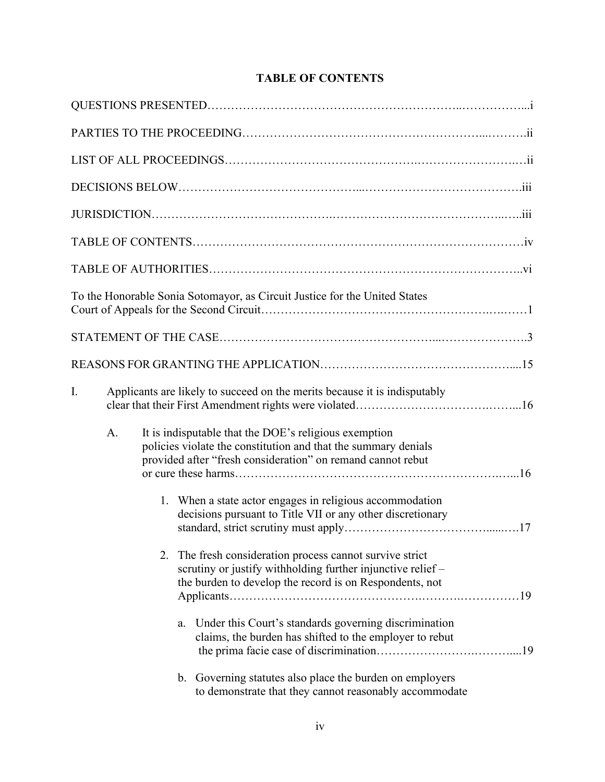|    | To the Honorable Sonia Sotomayor, as Circuit Justice for the United States                                                                                                             |
|----|----------------------------------------------------------------------------------------------------------------------------------------------------------------------------------------|
|    |                                                                                                                                                                                        |
|    |                                                                                                                                                                                        |
| I. | Applicants are likely to succeed on the merits because it is indisputably                                                                                                              |
| A. | It is indisputable that the DOE's religious exemption<br>policies violate the constitution and that the summary denials<br>provided after "fresh consideration" on remand cannot rebut |
|    | 1. When a state actor engages in religious accommodation<br>decisions pursuant to Title VII or any other discretionary                                                                 |
|    | 2. The fresh consideration process cannot survive strict<br>scrutiny or justify withholding further injunctive relief -<br>the burden to develop the record is on Respondents, not     |
|    | Under this Court's standards governing discrimination<br>a.<br>claims, the burden has shifted to the employer to rebut                                                                 |
|    | b. Governing statutes also place the burden on employers<br>to demonstrate that they cannot reasonably accommodate                                                                     |

## **TABLE OF CONTENTS**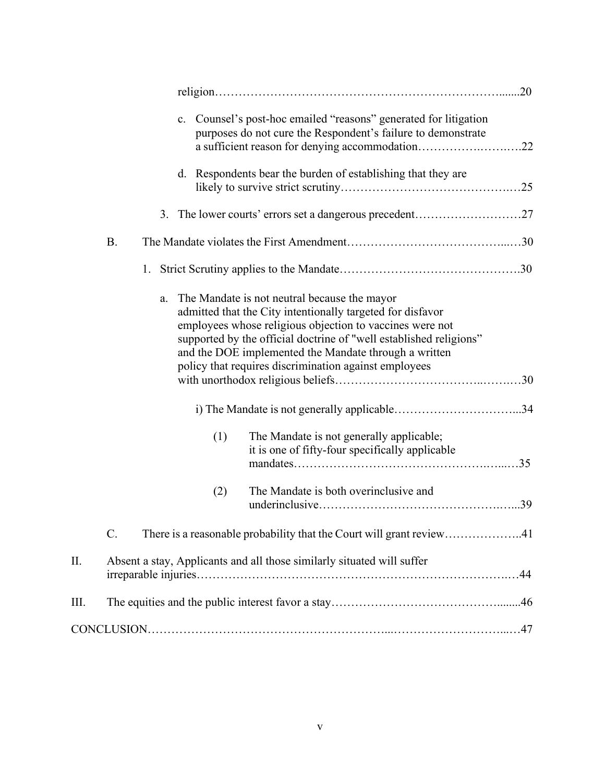|    |           | c. Counsel's post-hoc emailed "reasons" generated for litigation<br>purposes do not cure the Respondent's failure to demonstrate<br>a sufficient reason for denying accommodation22                                                                                                                                                                                  |  |
|----|-----------|----------------------------------------------------------------------------------------------------------------------------------------------------------------------------------------------------------------------------------------------------------------------------------------------------------------------------------------------------------------------|--|
|    |           | Respondents bear the burden of establishing that they are<br>d.                                                                                                                                                                                                                                                                                                      |  |
|    |           | 3. The lower courts' errors set a dangerous precedent27                                                                                                                                                                                                                                                                                                              |  |
|    | <b>B.</b> |                                                                                                                                                                                                                                                                                                                                                                      |  |
|    |           | 1.                                                                                                                                                                                                                                                                                                                                                                   |  |
|    |           | The Mandate is not neutral because the mayor<br>a.<br>admitted that the City intentionally targeted for disfavor<br>employees whose religious objection to vaccines were not<br>supported by the official doctrine of "well established religions"<br>and the DOE implemented the Mandate through a written<br>policy that requires discrimination against employees |  |
|    |           |                                                                                                                                                                                                                                                                                                                                                                      |  |
|    |           | (1)<br>The Mandate is not generally applicable;<br>it is one of fifty-four specifically applicable                                                                                                                                                                                                                                                                   |  |
|    |           | The Mandate is both overinclusive and<br>(2)                                                                                                                                                                                                                                                                                                                         |  |
|    | C.        | There is a reasonable probability that the Court will grant review41                                                                                                                                                                                                                                                                                                 |  |
| Π. |           | Absent a stay, Applicants and all those similarly situated will suffer                                                                                                                                                                                                                                                                                               |  |
| Ш. |           |                                                                                                                                                                                                                                                                                                                                                                      |  |
|    |           |                                                                                                                                                                                                                                                                                                                                                                      |  |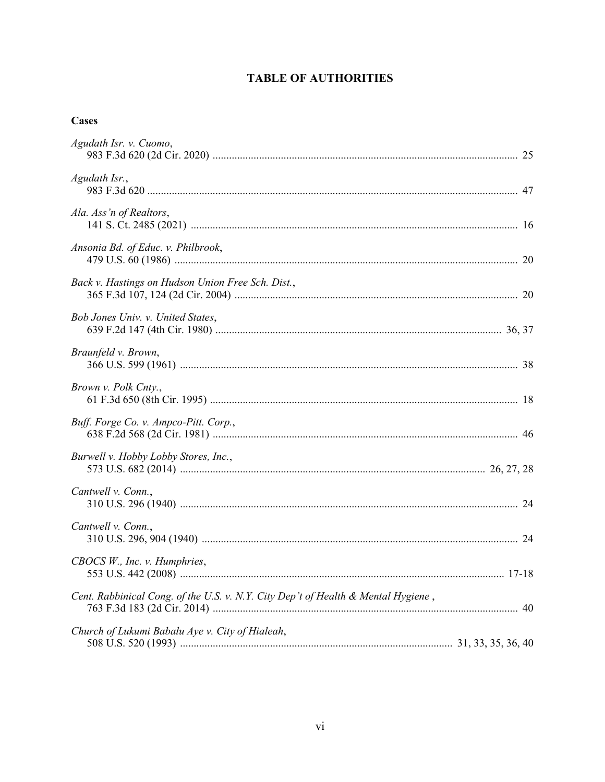## **TABLE OF AUTHORITIES**

## **Cases**

| Agudath Isr. v. Cuomo,                                                            |  |
|-----------------------------------------------------------------------------------|--|
|                                                                                   |  |
| Agudath Isr.,                                                                     |  |
| Ala. Ass'n of Realtors,                                                           |  |
| Ansonia Bd. of Educ. v. Philbrook,                                                |  |
| Back v. Hastings on Hudson Union Free Sch. Dist.,                                 |  |
| Bob Jones Univ. v. United States,                                                 |  |
| Braunfeld v. Brown,                                                               |  |
| Brown v. Polk Cnty.,                                                              |  |
| Buff. Forge Co. v. Ampco-Pitt. Corp.,                                             |  |
| Burwell v. Hobby Lobby Stores, Inc.,                                              |  |
| Cantwell v. Conn.,                                                                |  |
| Cantwell v. Conn.,                                                                |  |
| CBOCS W., Inc. v. Humphries,                                                      |  |
| Cent. Rabbinical Cong. of the U.S. v. N.Y. City Dep't of Health & Mental Hygiene, |  |
| Church of Lukumi Babalu Aye v. City of Hialeah,                                   |  |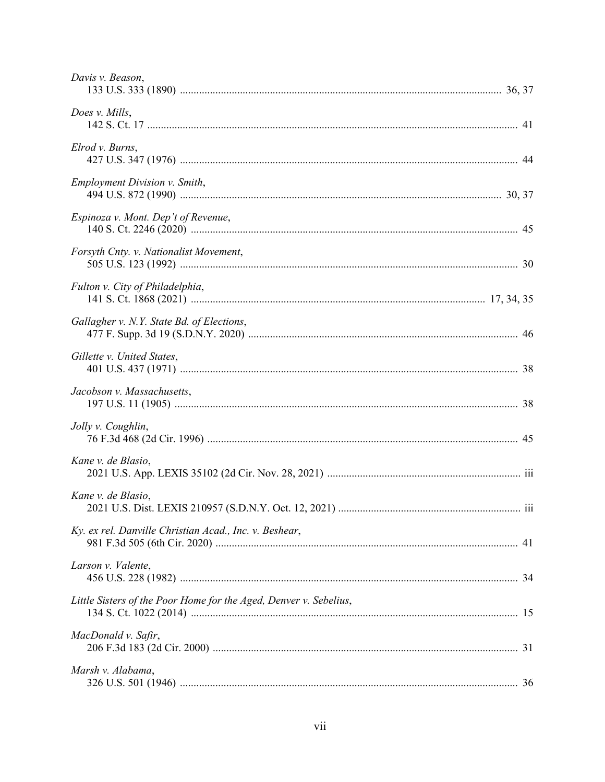| Davis v. Beason,                                                  |  |
|-------------------------------------------------------------------|--|
| Does v. Mills,                                                    |  |
| Elrod v. Burns,                                                   |  |
| <b>Employment Division v. Smith,</b>                              |  |
| Espinoza v. Mont. Dep't of Revenue,                               |  |
| Forsyth Cnty. v. Nationalist Movement,                            |  |
| Fulton v. City of Philadelphia,                                   |  |
| Gallagher v. N.Y. State Bd. of Elections,                         |  |
| Gillette v. United States,                                        |  |
| Jacobson v. Massachusetts,                                        |  |
| Jolly v. Coughlin,                                                |  |
| Kane v. de Blasio,                                                |  |
| Kane v. de Blasio,                                                |  |
| Ky. ex rel. Danville Christian Acad., Inc. v. Beshear,            |  |
| Larson v. Valente,                                                |  |
| Little Sisters of the Poor Home for the Aged, Denver v. Sebelius, |  |
| MacDonald v. Safir,                                               |  |
| Marsh v. Alabama,                                                 |  |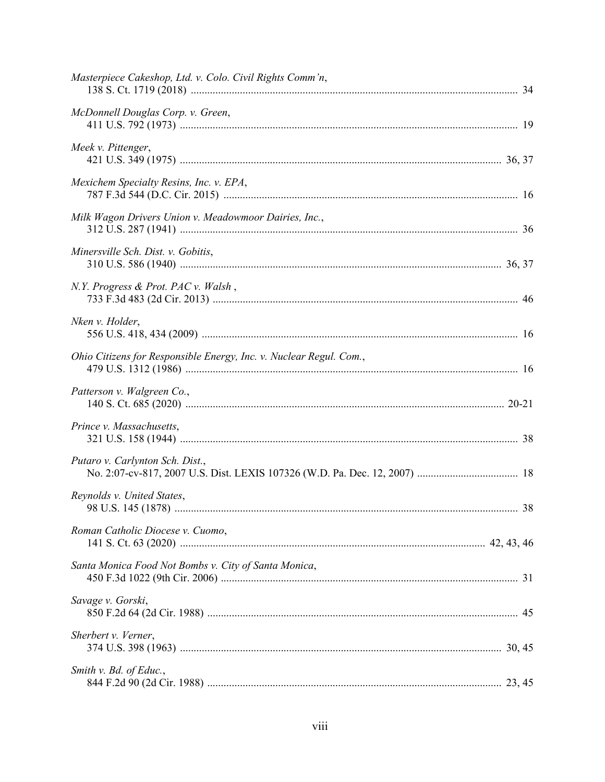| Masterpiece Cakeshop, Ltd. v. Colo. Civil Rights Comm'n,           |  |
|--------------------------------------------------------------------|--|
| McDonnell Douglas Corp. v. Green,                                  |  |
| Meek v. Pittenger,                                                 |  |
| Mexichem Specialty Resins, Inc. v. EPA,                            |  |
| Milk Wagon Drivers Union v. Meadowmoor Dairies, Inc.,              |  |
| Minersville Sch. Dist. v. Gobitis,                                 |  |
| N.Y. Progress & Prot. PAC v. Walsh,                                |  |
| Nken v. Holder,                                                    |  |
| Ohio Citizens for Responsible Energy, Inc. v. Nuclear Regul. Com., |  |
| Patterson v. Walgreen Co.,                                         |  |
| Prince v. Massachusetts,                                           |  |
| Putaro v. Carlynton Sch. Dist.,                                    |  |
| Reynolds v. United States,                                         |  |
| Roman Catholic Diocese v. Cuomo,                                   |  |
| Santa Monica Food Not Bombs v. City of Santa Monica,               |  |
| Savage v. Gorski,                                                  |  |
| Sherbert v. Verner,                                                |  |
| Smith v. Bd. of Educ.,                                             |  |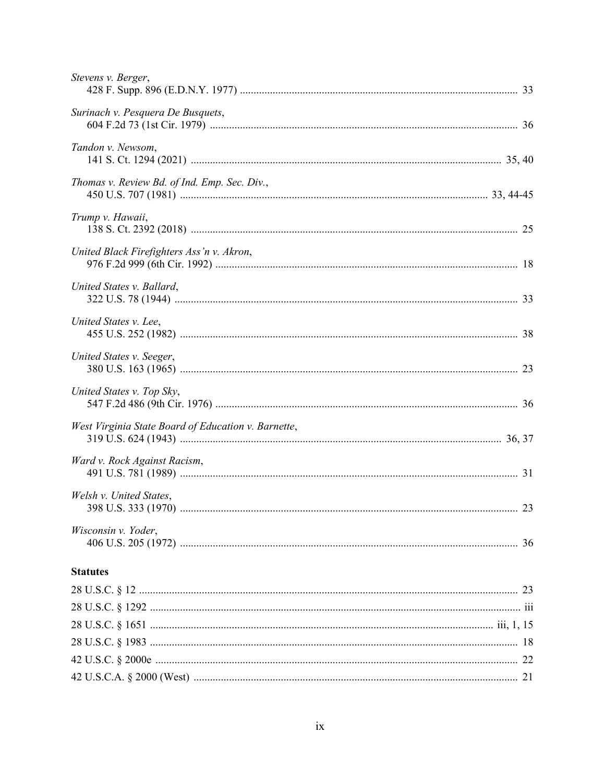| Stevens v. Berger,                                  |
|-----------------------------------------------------|
| Surinach v. Pesquera De Busquets,                   |
| Tandon v. Newsom,                                   |
| Thomas v. Review Bd. of Ind. Emp. Sec. Div.,        |
| Trump v. Hawaii,                                    |
| United Black Firefighters Ass'n v. Akron,           |
| United States v. Ballard,                           |
| United States v. Lee,                               |
| United States v. Seeger,                            |
| United States v. Top Sky,                           |
| West Virginia State Board of Education v. Barnette, |
| Ward v. Rock Against Racism,                        |
| Welsh v. United States,                             |
| Wisconsin v. Yoder,                                 |
| <b>Statutes</b>                                     |
|                                                     |
|                                                     |
|                                                     |
|                                                     |
|                                                     |
|                                                     |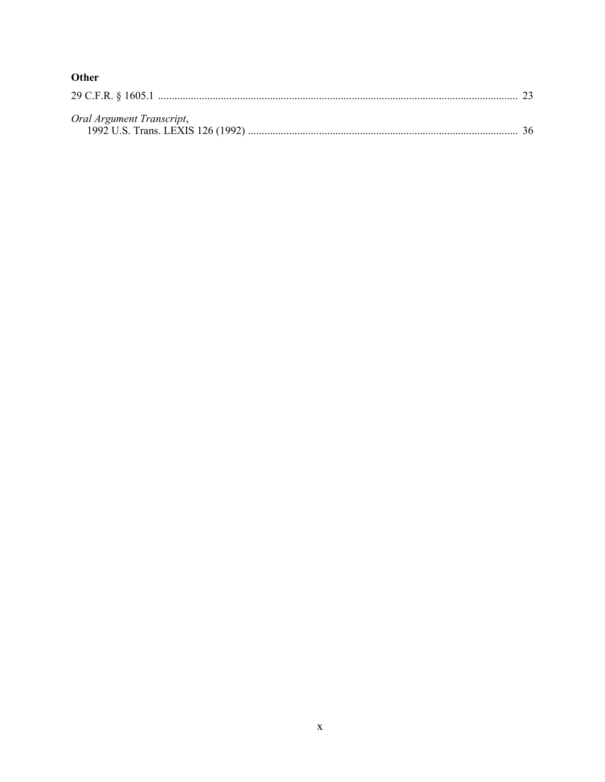| ٠<br>۰,<br>۰.<br>×<br>×<br>I |
|------------------------------|
|------------------------------|

| Oral Argument Transcript, |  |
|---------------------------|--|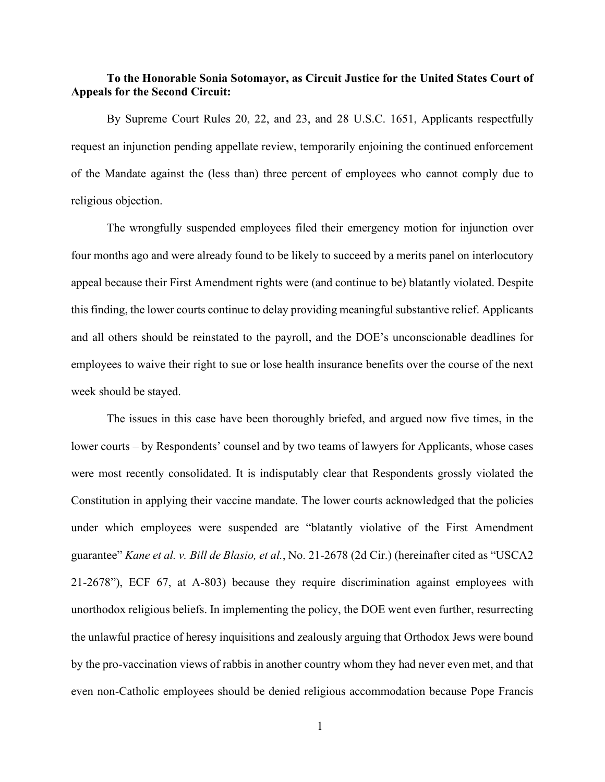## **To the Honorable Sonia Sotomayor, as Circuit Justice for the United States Court of Appeals for the Second Circuit:**

<span id="page-11-0"></span>By Supreme Court Rules 20, 22, and 23, and 28 U.S.C. 1651, Applicants respectfully request an injunction pending appellate review, temporarily enjoining the continued enforcement of the Mandate against the (less than) three percent of employees who cannot comply due to religious objection.

The wrongfully suspended employees filed their emergency motion for injunction over four months ago and were already found to be likely to succeed by a merits panel on interlocutory appeal because their First Amendment rights were (and continue to be) blatantly violated. Despite this finding, the lower courts continue to delay providing meaningful substantive relief. Applicants and all others should be reinstated to the payroll, and the DOE's unconscionable deadlines for employees to waive their right to sue or lose health insurance benefits over the course of the next week should be stayed.

The issues in this case have been thoroughly briefed, and argued now five times, in the lower courts – by Respondents' counsel and by two teams of lawyers for Applicants, whose cases were most recently consolidated. It is indisputably clear that Respondents grossly violated the Constitution in applying their vaccine mandate. The lower courts acknowledged that the policies under which employees were suspended are "blatantly violative of the First Amendment guarantee" *Kane et al. v. Bill de Blasio, et al.*, No. 21-2678 (2d Cir.) (hereinafter cited as "USCA2 21-2678"), ECF 67, at A-803) because they require discrimination against employees with unorthodox religious beliefs. In implementing the policy, the DOE went even further, resurrecting the unlawful practice of heresy inquisitions and zealously arguing that Orthodox Jews were bound by the pro-vaccination views of rabbis in another country whom they had never even met, and that even non-Catholic employees should be denied religious accommodation because Pope Francis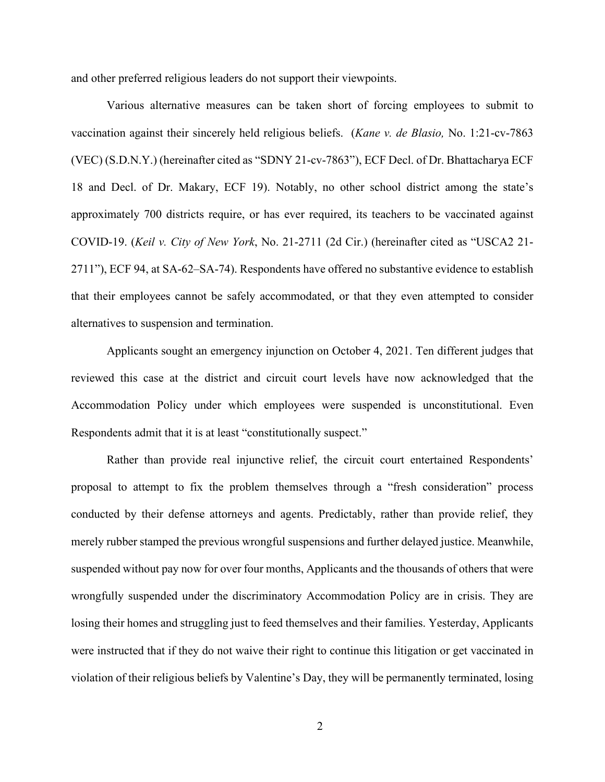and other preferred religious leaders do not support their viewpoints.

Various alternative measures can be taken short of forcing employees to submit to vaccination against their sincerely held religious beliefs. (*Kane v. de Blasio,* No. 1:21-cv-7863 (VEC) (S.D.N.Y.) (hereinafter cited as "SDNY 21-cv-7863"), ECF Decl. of Dr. Bhattacharya ECF 18 and Decl. of Dr. Makary, ECF 19). Notably, no other school district among the state's approximately 700 districts require, or has ever required, its teachers to be vaccinated against COVID-19. (*Keil v. City of New York*, No. 21-2711 (2d Cir.) (hereinafter cited as "USCA2 21- 2711"), ECF 94, at SA-62–SA-74). Respondents have offered no substantive evidence to establish that their employees cannot be safely accommodated, or that they even attempted to consider alternatives to suspension and termination.

Applicants sought an emergency injunction on October 4, 2021. Ten different judges that reviewed this case at the district and circuit court levels have now acknowledged that the Accommodation Policy under which employees were suspended is unconstitutional. Even Respondents admit that it is at least "constitutionally suspect."

Rather than provide real injunctive relief, the circuit court entertained Respondents' proposal to attempt to fix the problem themselves through a "fresh consideration" process conducted by their defense attorneys and agents. Predictably, rather than provide relief, they merely rubber stamped the previous wrongful suspensions and further delayed justice. Meanwhile, suspended without pay now for over four months, Applicants and the thousands of others that were wrongfully suspended under the discriminatory Accommodation Policy are in crisis. They are losing their homes and struggling just to feed themselves and their families. Yesterday, Applicants were instructed that if they do not waive their right to continue this litigation or get vaccinated in violation of their religious beliefs by Valentine's Day, they will be permanently terminated, losing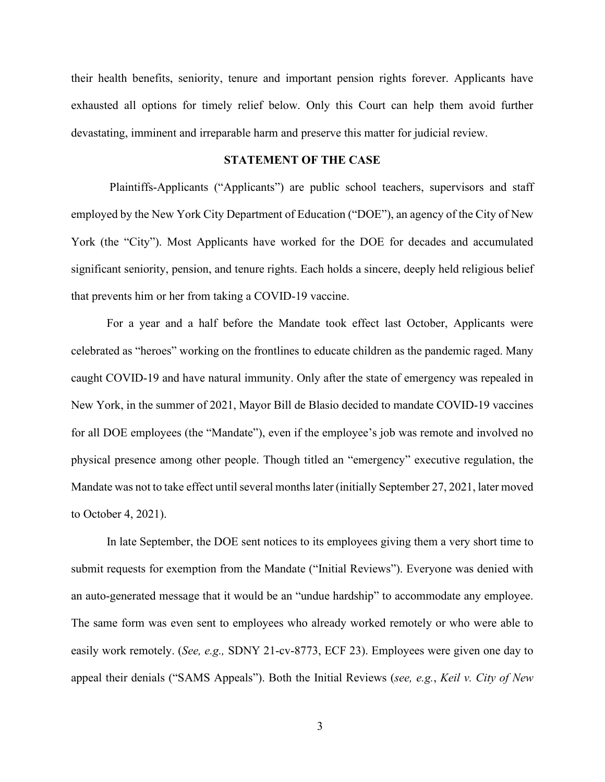their health benefits, seniority, tenure and important pension rights forever. Applicants have exhausted all options for timely relief below. Only this Court can help them avoid further devastating, imminent and irreparable harm and preserve this matter for judicial review.

#### **STATEMENT OF THE CASE**

Plaintiffs-Applicants ("Applicants") are public school teachers, supervisors and staff employed by the New York City Department of Education ("DOE"), an agency of the City of New York (the "City"). Most Applicants have worked for the DOE for decades and accumulated significant seniority, pension, and tenure rights. Each holds a sincere, deeply held religious belief that prevents him or her from taking a COVID-19 vaccine.

For a year and a half before the Mandate took effect last October, Applicants were celebrated as "heroes" working on the frontlines to educate children as the pandemic raged. Many caught COVID-19 and have natural immunity. Only after the state of emergency was repealed in New York, in the summer of 2021, Mayor Bill de Blasio decided to mandate COVID-19 vaccines for all DOE employees (the "Mandate"), even if the employee's job was remote and involved no physical presence among other people. Though titled an "emergency" executive regulation, the Mandate was not to take effect until several monthslater (initially September 27, 2021, later moved to October 4, 2021).

In late September, the DOE sent notices to its employees giving them a very short time to submit requests for exemption from the Mandate ("Initial Reviews"). Everyone was denied with an auto-generated message that it would be an "undue hardship" to accommodate any employee. The same form was even sent to employees who already worked remotely or who were able to easily work remotely. (*See, e.g.,* SDNY 21-cv-8773, ECF 23). Employees were given one day to appeal their denials ("SAMS Appeals"). Both the Initial Reviews (*see, e.g.*, *Keil v. City of New*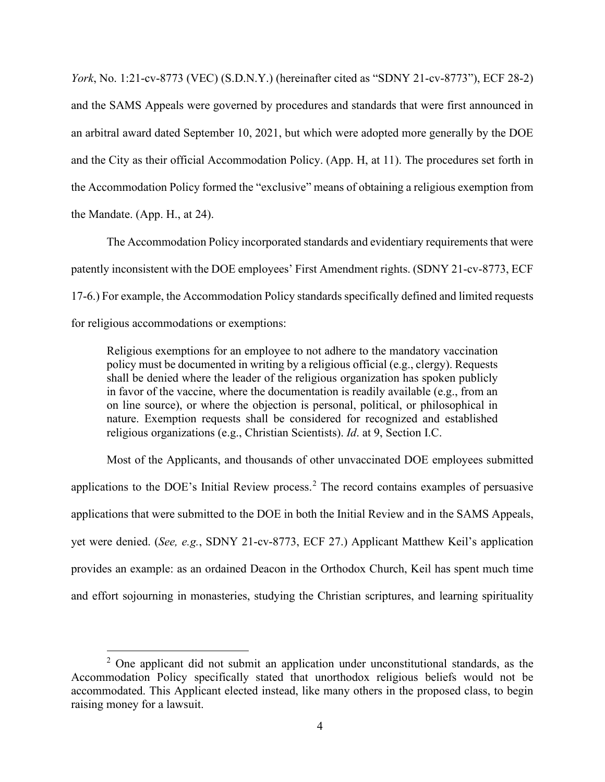*York*, No. 1:21-cv-8773 (VEC) (S.D.N.Y.) (hereinafter cited as "SDNY 21-cv-8773"), ECF 28-2) and the SAMS Appeals were governed by procedures and standards that were first announced in an arbitral award dated September 10, 2021, but which were adopted more generally by the DOE and the City as their official Accommodation Policy. (App. H, at 11). The procedures set forth in the Accommodation Policy formed the "exclusive" means of obtaining a religious exemption from the Mandate. (App. H., at 24).

The Accommodation Policy incorporated standards and evidentiary requirements that were patently inconsistent with the DOE employees' First Amendment rights. (SDNY 21-cv-8773, ECF 17-6.) For example, the Accommodation Policy standards specifically defined and limited requests for religious accommodations or exemptions:

Religious exemptions for an employee to not adhere to the mandatory vaccination policy must be documented in writing by a religious official (e.g., clergy). Requests shall be denied where the leader of the religious organization has spoken publicly in favor of the vaccine, where the documentation is readily available (e.g., from an on line source), or where the objection is personal, political, or philosophical in nature. Exemption requests shall be considered for recognized and established religious organizations (e.g., Christian Scientists). *Id*. at 9, Section I.C.

Most of the Applicants, and thousands of other unvaccinated DOE employees submitted applications to the DOE's Initial Review process.<sup>[2](#page-14-0)</sup> The record contains examples of persuasive applications that were submitted to the DOE in both the Initial Review and in the SAMS Appeals, yet were denied. (*See, e.g.*, SDNY 21-cv-8773, ECF 27.) Applicant Matthew Keil's application provides an example: as an ordained Deacon in the Orthodox Church, Keil has spent much time and effort sojourning in monasteries, studying the Christian scriptures, and learning spirituality

<span id="page-14-0"></span> $2$  One applicant did not submit an application under unconstitutional standards, as the Accommodation Policy specifically stated that unorthodox religious beliefs would not be accommodated. This Applicant elected instead, like many others in the proposed class, to begin raising money for a lawsuit.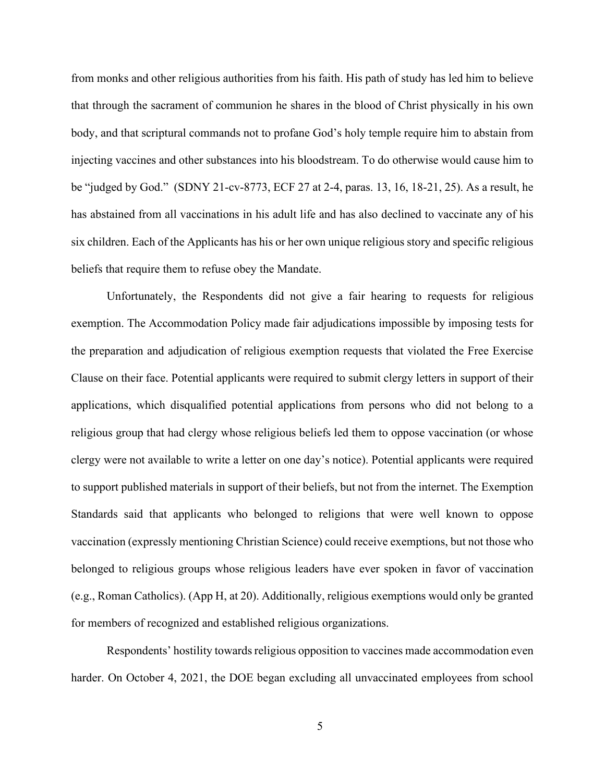from monks and other religious authorities from his faith. His path of study has led him to believe that through the sacrament of communion he shares in the blood of Christ physically in his own body, and that scriptural commands not to profane God's holy temple require him to abstain from injecting vaccines and other substances into his bloodstream. To do otherwise would cause him to be "judged by God." (SDNY 21-cv-8773, ECF 27 at 2-4, paras. 13, 16, 18-21, 25). As a result, he has abstained from all vaccinations in his adult life and has also declined to vaccinate any of his six children. Each of the Applicants has his or her own unique religious story and specific religious beliefs that require them to refuse obey the Mandate.

Unfortunately, the Respondents did not give a fair hearing to requests for religious exemption. The Accommodation Policy made fair adjudications impossible by imposing tests for the preparation and adjudication of religious exemption requests that violated the Free Exercise Clause on their face. Potential applicants were required to submit clergy letters in support of their applications, which disqualified potential applications from persons who did not belong to a religious group that had clergy whose religious beliefs led them to oppose vaccination (or whose clergy were not available to write a letter on one day's notice). Potential applicants were required to support published materials in support of their beliefs, but not from the internet. The Exemption Standards said that applicants who belonged to religions that were well known to oppose vaccination (expressly mentioning Christian Science) could receive exemptions, but not those who belonged to religious groups whose religious leaders have ever spoken in favor of vaccination (e.g., Roman Catholics). (App H, at 20). Additionally, religious exemptions would only be granted for members of recognized and established religious organizations.

Respondents' hostility towards religious opposition to vaccines made accommodation even harder. On October 4, 2021, the DOE began excluding all unvaccinated employees from school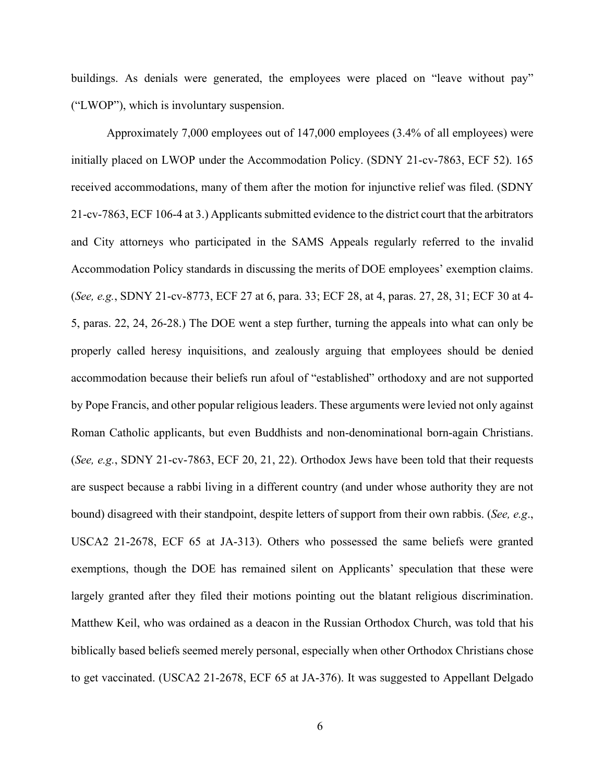buildings. As denials were generated, the employees were placed on "leave without pay" ("LWOP"), which is involuntary suspension.

Approximately 7,000 employees out of 147,000 employees (3.4% of all employees) were initially placed on LWOP under the Accommodation Policy. (SDNY 21-cv-7863, ECF 52). 165 received accommodations, many of them after the motion for injunctive relief was filed. (SDNY 21-cv-7863, ECF 106-4 at 3.) Applicants submitted evidence to the district court that the arbitrators and City attorneys who participated in the SAMS Appeals regularly referred to the invalid Accommodation Policy standards in discussing the merits of DOE employees' exemption claims. (*See, e.g.*, SDNY 21-cv-8773, ECF 27 at 6, para. 33; ECF 28, at 4, paras. 27, 28, 31; ECF 30 at 4- 5, paras. 22, 24, 26-28.) The DOE went a step further, turning the appeals into what can only be properly called heresy inquisitions, and zealously arguing that employees should be denied accommodation because their beliefs run afoul of "established" orthodoxy and are not supported by Pope Francis, and other popular religious leaders. These arguments were levied not only against Roman Catholic applicants, but even Buddhists and non-denominational born-again Christians. (*See, e.g.*, SDNY 21-cv-7863, ECF 20, 21, 22). Orthodox Jews have been told that their requests are suspect because a rabbi living in a different country (and under whose authority they are not bound) disagreed with their standpoint, despite letters of support from their own rabbis. (*See, e.g*., USCA2 21-2678, ECF 65 at JA-313). Others who possessed the same beliefs were granted exemptions, though the DOE has remained silent on Applicants' speculation that these were largely granted after they filed their motions pointing out the blatant religious discrimination. Matthew Keil, who was ordained as a deacon in the Russian Orthodox Church, was told that his biblically based beliefs seemed merely personal, especially when other Orthodox Christians chose to get vaccinated. (USCA2 21-2678, ECF 65 at JA-376). It was suggested to Appellant Delgado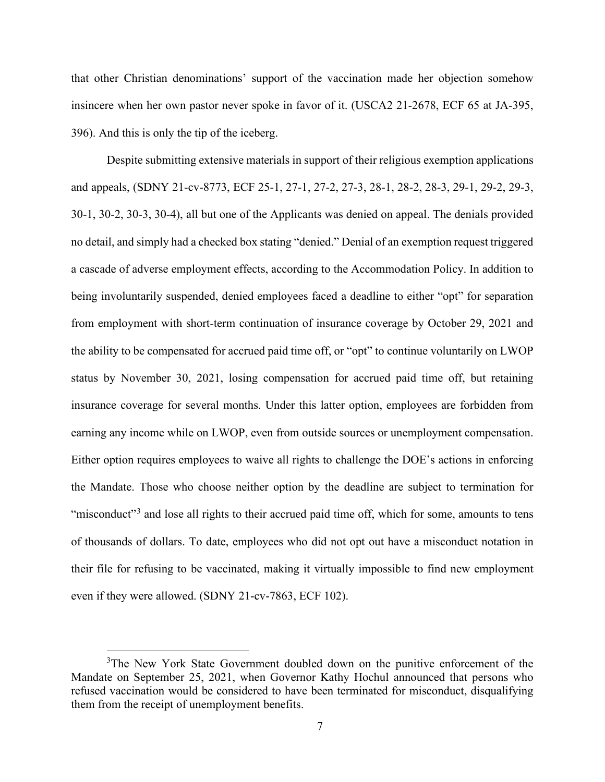that other Christian denominations' support of the vaccination made her objection somehow insincere when her own pastor never spoke in favor of it. (USCA2 21-2678, ECF 65 at JA-395, 396). And this is only the tip of the iceberg.

Despite submitting extensive materials in support of their religious exemption applications and appeals, (SDNY 21-cv-8773, ECF 25-1, 27-1, 27-2, 27-3, 28-1, 28-2, 28-3, 29-1, 29-2, 29-3, 30-1, 30-2, 30-3, 30-4), all but one of the Applicants was denied on appeal. The denials provided no detail, and simply had a checked box stating "denied." Denial of an exemption request triggered a cascade of adverse employment effects, according to the Accommodation Policy. In addition to being involuntarily suspended, denied employees faced a deadline to either "opt" for separation from employment with short-term continuation of insurance coverage by October 29, 2021 and the ability to be compensated for accrued paid time off, or "opt" to continue voluntarily on LWOP status by November 30, 2021, losing compensation for accrued paid time off, but retaining insurance coverage for several months. Under this latter option, employees are forbidden from earning any income while on LWOP, even from outside sources or unemployment compensation. Either option requires employees to waive all rights to challenge the DOE's actions in enforcing the Mandate. Those who choose neither option by the deadline are subject to termination for "misconduct"<sup>[3](#page-17-0)</sup> and lose all rights to their accrued paid time off, which for some, amounts to tens of thousands of dollars. To date, employees who did not opt out have a misconduct notation in their file for refusing to be vaccinated, making it virtually impossible to find new employment even if they were allowed. (SDNY 21-cv-7863, ECF 102).

<span id="page-17-0"></span><sup>&</sup>lt;sup>3</sup>The New York State Government doubled down on the punitive enforcement of the Mandate on September 25, 2021, when Governor Kathy Hochul announced that persons who refused vaccination would be considered to have been terminated for misconduct, disqualifying them from the receipt of unemployment benefits.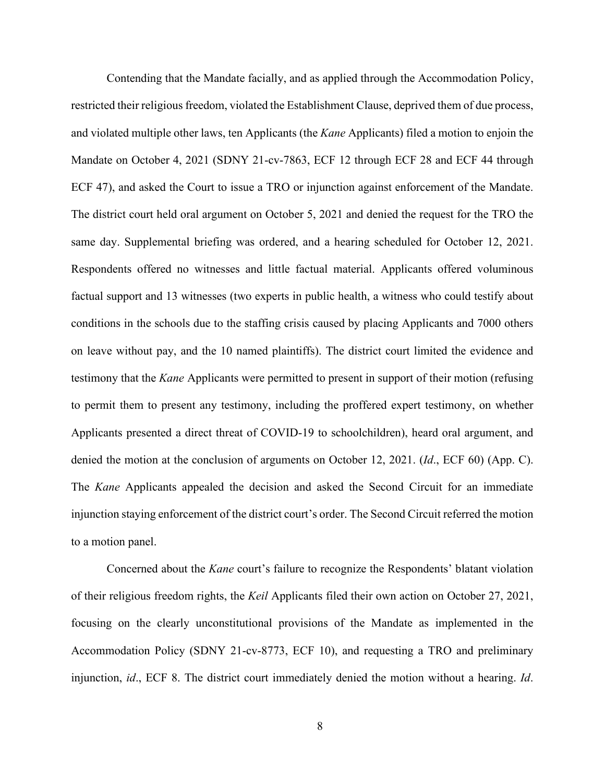Contending that the Mandate facially, and as applied through the Accommodation Policy, restricted their religious freedom, violated the Establishment Clause, deprived them of due process, and violated multiple other laws, ten Applicants (the *Kane* Applicants) filed a motion to enjoin the Mandate on October 4, 2021 (SDNY 21-cv-7863, ECF 12 through ECF 28 and ECF 44 through ECF 47), and asked the Court to issue a TRO or injunction against enforcement of the Mandate. The district court held oral argument on October 5, 2021 and denied the request for the TRO the same day. Supplemental briefing was ordered, and a hearing scheduled for October 12, 2021. Respondents offered no witnesses and little factual material. Applicants offered voluminous factual support and 13 witnesses (two experts in public health, a witness who could testify about conditions in the schools due to the staffing crisis caused by placing Applicants and 7000 others on leave without pay, and the 10 named plaintiffs). The district court limited the evidence and testimony that the *Kane* Applicants were permitted to present in support of their motion (refusing to permit them to present any testimony, including the proffered expert testimony, on whether Applicants presented a direct threat of COVID-19 to schoolchildren), heard oral argument, and denied the motion at the conclusion of arguments on October 12, 2021. (*Id*., ECF 60) (App. C). The *Kane* Applicants appealed the decision and asked the Second Circuit for an immediate injunction staying enforcement of the district court's order. The Second Circuit referred the motion to a motion panel.

Concerned about the *Kane* court's failure to recognize the Respondents' blatant violation of their religious freedom rights, the *Keil* Applicants filed their own action on October 27, 2021, focusing on the clearly unconstitutional provisions of the Mandate as implemented in the Accommodation Policy (SDNY 21-cv-8773, ECF 10), and requesting a TRO and preliminary injunction, *id*., ECF 8. The district court immediately denied the motion without a hearing. *Id*.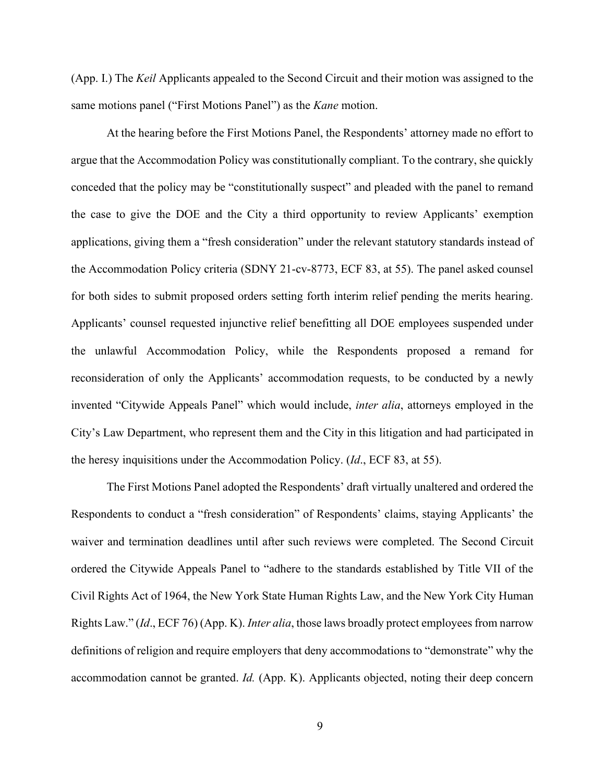(App. I.) The *Keil* Applicants appealed to the Second Circuit and their motion was assigned to the same motions panel ("First Motions Panel") as the *Kane* motion.

At the hearing before the First Motions Panel, the Respondents' attorney made no effort to argue that the Accommodation Policy was constitutionally compliant. To the contrary, she quickly conceded that the policy may be "constitutionally suspect" and pleaded with the panel to remand the case to give the DOE and the City a third opportunity to review Applicants' exemption applications, giving them a "fresh consideration" under the relevant statutory standards instead of the Accommodation Policy criteria (SDNY 21-cv-8773, ECF 83, at 55). The panel asked counsel for both sides to submit proposed orders setting forth interim relief pending the merits hearing. Applicants' counsel requested injunctive relief benefitting all DOE employees suspended under the unlawful Accommodation Policy, while the Respondents proposed a remand for reconsideration of only the Applicants' accommodation requests, to be conducted by a newly invented "Citywide Appeals Panel" which would include, *inter alia*, attorneys employed in the City's Law Department, who represent them and the City in this litigation and had participated in the heresy inquisitions under the Accommodation Policy. (*Id*., ECF 83, at 55).

The First Motions Panel adopted the Respondents' draft virtually unaltered and ordered the Respondents to conduct a "fresh consideration" of Respondents' claims, staying Applicants' the waiver and termination deadlines until after such reviews were completed. The Second Circuit ordered the Citywide Appeals Panel to "adhere to the standards established by Title VII of the Civil Rights Act of 1964, the New York State Human Rights Law, and the New York City Human Rights Law." (*Id*., ECF 76) (App. K). *Inter alia*, those laws broadly protect employees from narrow definitions of religion and require employers that deny accommodations to "demonstrate" why the accommodation cannot be granted. *Id.* (App. K). Applicants objected, noting their deep concern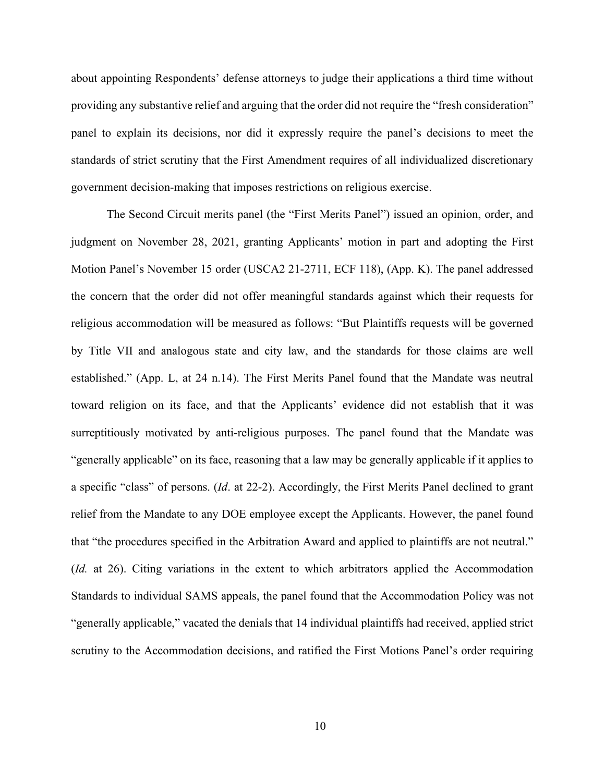about appointing Respondents' defense attorneys to judge their applications a third time without providing any substantive relief and arguing that the order did not require the "fresh consideration" panel to explain its decisions, nor did it expressly require the panel's decisions to meet the standards of strict scrutiny that the First Amendment requires of all individualized discretionary government decision-making that imposes restrictions on religious exercise.

The Second Circuit merits panel (the "First Merits Panel") issued an opinion, order, and judgment on November 28, 2021, granting Applicants' motion in part and adopting the First Motion Panel's November 15 order (USCA2 21-2711, ECF 118), (App. K). The panel addressed the concern that the order did not offer meaningful standards against which their requests for religious accommodation will be measured as follows: "But Plaintiffs requests will be governed by Title VII and analogous state and city law, and the standards for those claims are well established." (App. L, at 24 n.14). The First Merits Panel found that the Mandate was neutral toward religion on its face, and that the Applicants' evidence did not establish that it was surreptitiously motivated by anti-religious purposes. The panel found that the Mandate was "generally applicable" on its face, reasoning that a law may be generally applicable if it applies to a specific "class" of persons. (*Id*. at 22-2). Accordingly, the First Merits Panel declined to grant relief from the Mandate to any DOE employee except the Applicants. However, the panel found that "the procedures specified in the Arbitration Award and applied to plaintiffs are not neutral." (*Id.* at 26). Citing variations in the extent to which arbitrators applied the Accommodation Standards to individual SAMS appeals, the panel found that the Accommodation Policy was not "generally applicable," vacated the denials that 14 individual plaintiffs had received, applied strict scrutiny to the Accommodation decisions, and ratified the First Motions Panel's order requiring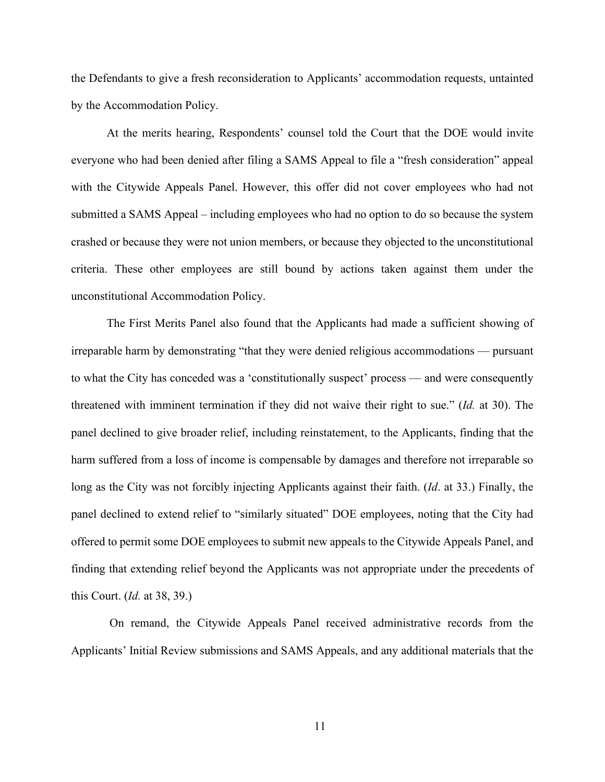the Defendants to give a fresh reconsideration to Applicants' accommodation requests, untainted by the Accommodation Policy.

At the merits hearing, Respondents' counsel told the Court that the DOE would invite everyone who had been denied after filing a SAMS Appeal to file a "fresh consideration" appeal with the Citywide Appeals Panel. However, this offer did not cover employees who had not submitted a SAMS Appeal – including employees who had no option to do so because the system crashed or because they were not union members, or because they objected to the unconstitutional criteria. These other employees are still bound by actions taken against them under the unconstitutional Accommodation Policy.

The First Merits Panel also found that the Applicants had made a sufficient showing of irreparable harm by demonstrating "that they were denied religious accommodations — pursuant to what the City has conceded was a 'constitutionally suspect' process — and were consequently threatened with imminent termination if they did not waive their right to sue." (*Id.* at 30). The panel declined to give broader relief, including reinstatement, to the Applicants, finding that the harm suffered from a loss of income is compensable by damages and therefore not irreparable so long as the City was not forcibly injecting Applicants against their faith. (*Id*. at 33.) Finally, the panel declined to extend relief to "similarly situated" DOE employees, noting that the City had offered to permit some DOE employees to submit new appeals to the Citywide Appeals Panel, and finding that extending relief beyond the Applicants was not appropriate under the precedents of this Court. (*Id.* at 38, 39.)

On remand, the Citywide Appeals Panel received administrative records from the Applicants' Initial Review submissions and SAMS Appeals, and any additional materials that the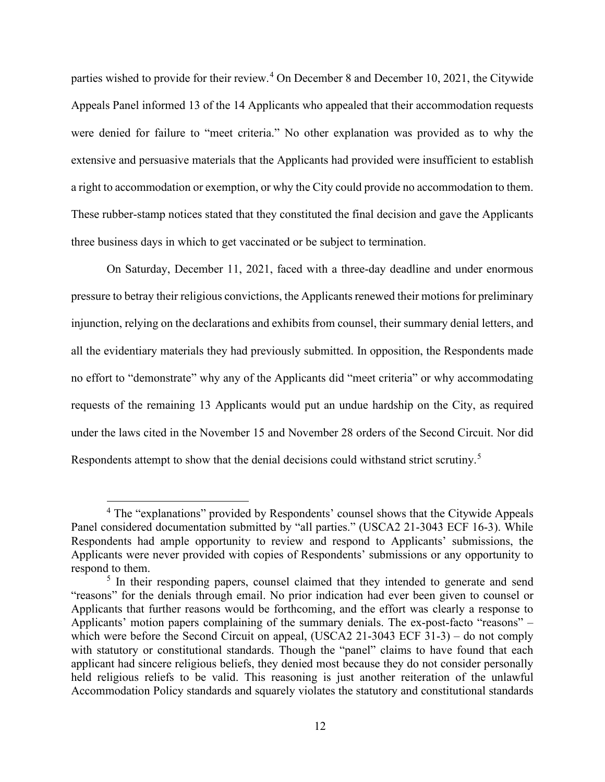parties wished to provide for their review.<sup>[4](#page-22-0)</sup> On December 8 and December 10, 2021, the Citywide Appeals Panel informed 13 of the 14 Applicants who appealed that their accommodation requests were denied for failure to "meet criteria." No other explanation was provided as to why the extensive and persuasive materials that the Applicants had provided were insufficient to establish a right to accommodation or exemption, or why the City could provide no accommodation to them. These rubber-stamp notices stated that they constituted the final decision and gave the Applicants three business days in which to get vaccinated or be subject to termination.

On Saturday, December 11, 2021, faced with a three-day deadline and under enormous pressure to betray their religious convictions, the Applicants renewed their motions for preliminary injunction, relying on the declarations and exhibits from counsel, their summary denial letters, and all the evidentiary materials they had previously submitted. In opposition, the Respondents made no effort to "demonstrate" why any of the Applicants did "meet criteria" or why accommodating requests of the remaining 13 Applicants would put an undue hardship on the City, as required under the laws cited in the November 15 and November 28 orders of the Second Circuit. Nor did Respondents attempt to show that the denial decisions could withstand strict scrutiny.<sup>[5](#page-22-1)</sup>

<span id="page-22-0"></span><sup>4</sup> The "explanations" provided by Respondents' counsel shows that the Citywide Appeals Panel considered documentation submitted by "all parties." (USCA2 21-3043 ECF 16-3). While Respondents had ample opportunity to review and respond to Applicants' submissions, the Applicants were never provided with copies of Respondents' submissions or any opportunity to respond to them.

<span id="page-22-1"></span><sup>&</sup>lt;sup>5</sup> In their responding papers, counsel claimed that they intended to generate and send "reasons" for the denials through email. No prior indication had ever been given to counsel or Applicants that further reasons would be forthcoming, and the effort was clearly a response to Applicants' motion papers complaining of the summary denials. The ex-post-facto "reasons" – which were before the Second Circuit on appeal, (USCA2 21-3043 ECF 31-3) – do not comply with statutory or constitutional standards. Though the "panel" claims to have found that each applicant had sincere religious beliefs, they denied most because they do not consider personally held religious reliefs to be valid. This reasoning is just another reiteration of the unlawful Accommodation Policy standards and squarely violates the statutory and constitutional standards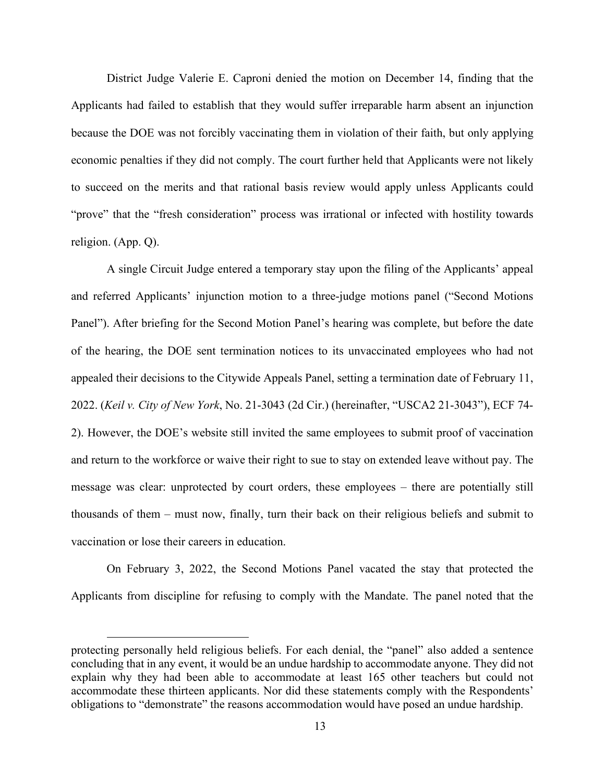District Judge Valerie E. Caproni denied the motion on December 14, finding that the Applicants had failed to establish that they would suffer irreparable harm absent an injunction because the DOE was not forcibly vaccinating them in violation of their faith, but only applying economic penalties if they did not comply. The court further held that Applicants were not likely to succeed on the merits and that rational basis review would apply unless Applicants could "prove" that the "fresh consideration" process was irrational or infected with hostility towards religion. (App. Q).

A single Circuit Judge entered a temporary stay upon the filing of the Applicants' appeal and referred Applicants' injunction motion to a three-judge motions panel ("Second Motions Panel"). After briefing for the Second Motion Panel's hearing was complete, but before the date of the hearing, the DOE sent termination notices to its unvaccinated employees who had not appealed their decisions to the Citywide Appeals Panel, setting a termination date of February 11, 2022. (*Keil v. City of New York*, No. 21-3043 (2d Cir.) (hereinafter, "USCA2 21-3043"), ECF 74- 2). However, the DOE's website still invited the same employees to submit proof of vaccination and return to the workforce or waive their right to sue to stay on extended leave without pay. The message was clear: unprotected by court orders, these employees – there are potentially still thousands of them – must now, finally, turn their back on their religious beliefs and submit to vaccination or lose their careers in education.

On February 3, 2022, the Second Motions Panel vacated the stay that protected the Applicants from discipline for refusing to comply with the Mandate. The panel noted that the

protecting personally held religious beliefs. For each denial, the "panel" also added a sentence concluding that in any event, it would be an undue hardship to accommodate anyone. They did not explain why they had been able to accommodate at least 165 other teachers but could not accommodate these thirteen applicants. Nor did these statements comply with the Respondents' obligations to "demonstrate" the reasons accommodation would have posed an undue hardship.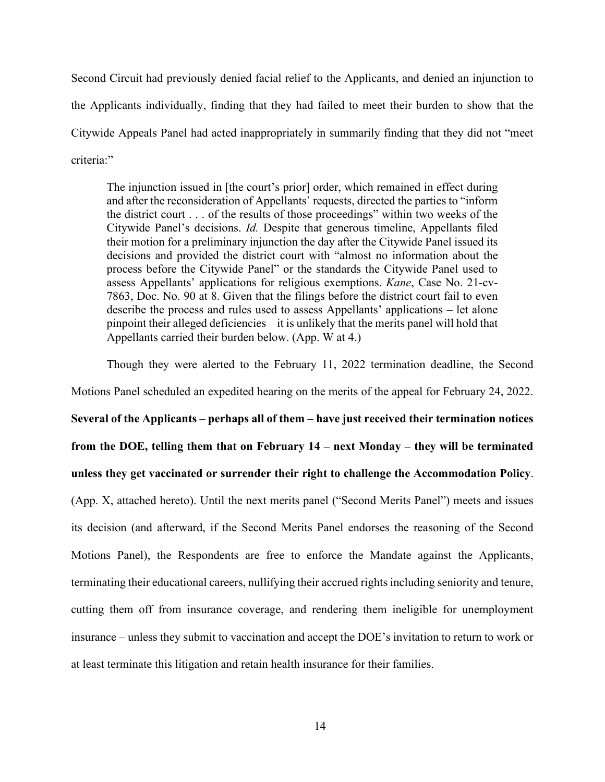Second Circuit had previously denied facial relief to the Applicants, and denied an injunction to the Applicants individually, finding that they had failed to meet their burden to show that the Citywide Appeals Panel had acted inappropriately in summarily finding that they did not "meet criteria:"

The injunction issued in [the court's prior] order, which remained in effect during and after the reconsideration of Appellants' requests, directed the parties to "inform the district court . . . of the results of those proceedings" within two weeks of the Citywide Panel's decisions. *Id.* Despite that generous timeline, Appellants filed their motion for a preliminary injunction the day after the Citywide Panel issued its decisions and provided the district court with "almost no information about the process before the Citywide Panel" or the standards the Citywide Panel used to assess Appellants' applications for religious exemptions. *Kane*, Case No. 21-cv-7863, Doc. No. 90 at 8. Given that the filings before the district court fail to even describe the process and rules used to assess Appellants' applications – let alone pinpoint their alleged deficiencies – it is unlikely that the merits panel will hold that Appellants carried their burden below. (App. W at 4.)

Though they were alerted to the February 11, 2022 termination deadline, the Second Motions Panel scheduled an expedited hearing on the merits of the appeal for February 24, 2022. **Several of the Applicants – perhaps all of them – have just received their termination notices from the DOE, telling them that on February 14 – next Monday – they will be terminated unless they get vaccinated or surrender their right to challenge the Accommodation Policy**. (App. X, attached hereto). Until the next merits panel ("Second Merits Panel") meets and issues its decision (and afterward, if the Second Merits Panel endorses the reasoning of the Second Motions Panel), the Respondents are free to enforce the Mandate against the Applicants, terminating their educational careers, nullifying their accrued rights including seniority and tenure, cutting them off from insurance coverage, and rendering them ineligible for unemployment insurance – unless they submit to vaccination and accept the DOE's invitation to return to work or at least terminate this litigation and retain health insurance for their families.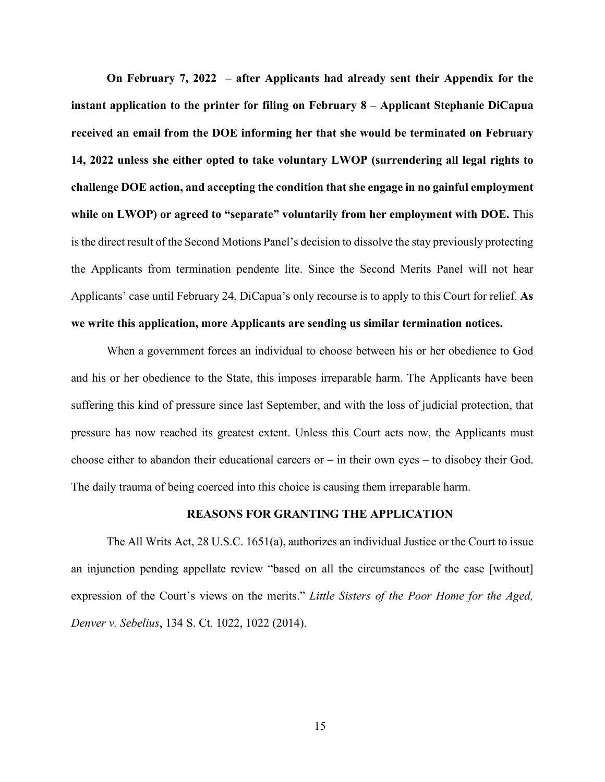**On February 7, 2022 – after Applicants had already sent their Appendix for the instant application to the printer for filing on February 8 – Applicant Stephanie DiCapua received an email from the DOE informing her that she would be terminated on February 14, 2022 unless she either opted to take voluntary LWOP (surrendering all legal rights to challenge DOE action, and accepting the condition that she engage in no gainful employment while on LWOP) or agreed to "separate" voluntarily from her employment with DOE.** This is the direct result of the Second Motions Panel's decision to dissolve the stay previously protecting the Applicants from termination pendente lite. Since the Second Merits Panel will not hear Applicants' case until February 24, DiCapua's only recourse is to apply to this Court for relief. **As we write this application, more Applicants are sending us similar termination notices.**

When a government forces an individual to choose between his or her obedience to God and his or her obedience to the State, this imposes irreparable harm. The Applicants have been suffering this kind of pressure since last September, and with the loss of judicial protection, that pressure has now reached its greatest extent. Unless this Court acts now, the Applicants must choose either to abandon their educational careers or  $-$  in their own eyes  $-$  to disobey their God. The daily trauma of being coerced into this choice is causing them irreparable harm.

#### <span id="page-25-1"></span><span id="page-25-0"></span>**REASONS FOR GRANTING THE APPLICATION**

The All Writs Act, 28 U.S.C. 1651(a), authorizes an individual Justice or the Court to issue an injunction pending appellate review "based on all the circumstances of the case [without] expression of the Court's views on the merits." *Little Sisters of the Poor Home for the Aged, Denver v. Sebelius*, 134 S. Ct. 1022, 1022 (2014).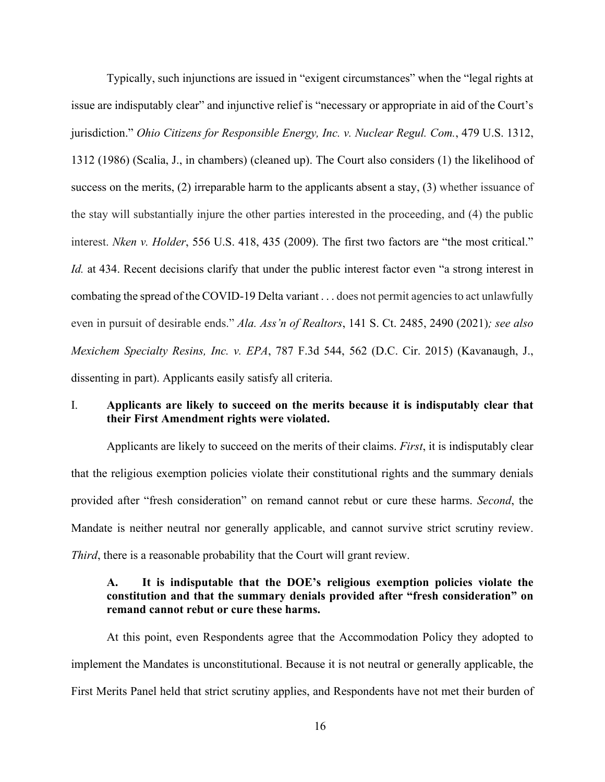<span id="page-26-3"></span>Typically, such injunctions are issued in "exigent circumstances" when the "legal rights at issue are indisputably clear" and injunctive relief is "necessary or appropriate in aid of the Court's jurisdiction." *Ohio Citizens for Responsible Energy, Inc. v. Nuclear Regul. Com.*, 479 U.S. 1312, 1312 (1986) (Scalia, J., in chambers) (cleaned up). The Court also considers (1) the likelihood of success on the merits, (2) irreparable harm to the applicants absent a stay, (3) whether issuance of the stay will substantially injure the other parties interested in the proceeding, and (4) the public interest. *Nken v. Holder*, 556 U.S. 418, 435 (2009). The first two factors are "the most critical." *Id.* at 434. Recent decisions clarify that under the public interest factor even "a strong interest in combating the spread of the COVID-19 Delta variant . . . does not permit agencies to act unlawfully even in pursuit of desirable ends." *Ala. Ass'n of Realtors*, 141 S. Ct. 2485, 2490 (2021)*; see also Mexichem Specialty Resins, Inc. v. EPA*, 787 F.3d 544, 562 (D.C. Cir. 2015) (Kavanaugh, J., dissenting in part). Applicants easily satisfy all criteria.

## <span id="page-26-2"></span><span id="page-26-1"></span><span id="page-26-0"></span>I. **Applicants are likely to succeed on the merits because it is indisputably clear that their First Amendment rights were violated.**

Applicants are likely to succeed on the merits of their claims. *First*, it is indisputably clear that the religious exemption policies violate their constitutional rights and the summary denials provided after "fresh consideration" on remand cannot rebut or cure these harms. *Second*, the Mandate is neither neutral nor generally applicable, and cannot survive strict scrutiny review. *Third*, there is a reasonable probability that the Court will grant review.

## **A. It is indisputable that the DOE's religious exemption policies violate the constitution and that the summary denials provided after "fresh consideration" on remand cannot rebut or cure these harms.**

At this point, even Respondents agree that the Accommodation Policy they adopted to implement the Mandates is unconstitutional. Because it is not neutral or generally applicable, the First Merits Panel held that strict scrutiny applies, and Respondents have not met their burden of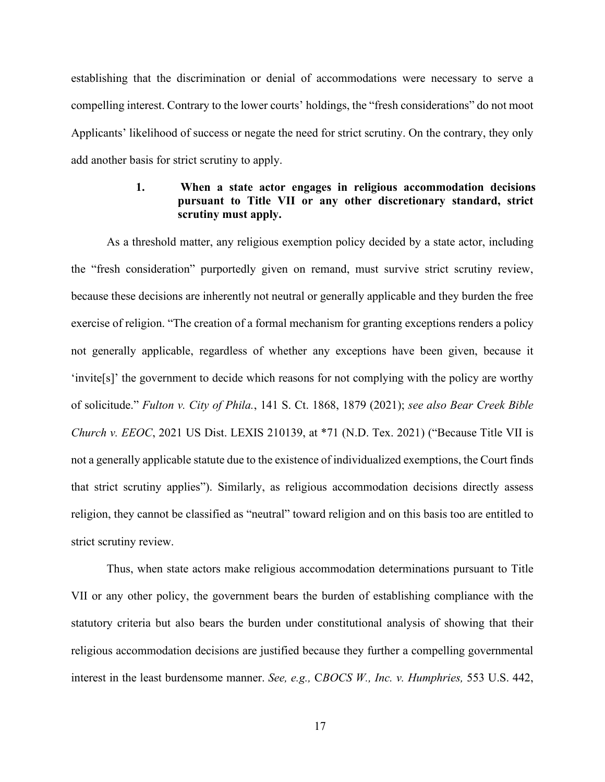establishing that the discrimination or denial of accommodations were necessary to serve a compelling interest. Contrary to the lower courts' holdings, the "fresh considerations" do not moot Applicants' likelihood of success or negate the need for strict scrutiny. On the contrary, they only add another basis for strict scrutiny to apply.

## **1. When a state actor engages in religious accommodation decisions pursuant to Title VII or any other discretionary standard, strict scrutiny must apply.**

<span id="page-27-1"></span>As a threshold matter, any religious exemption policy decided by a state actor, including the "fresh consideration" purportedly given on remand, must survive strict scrutiny review, because these decisions are inherently not neutral or generally applicable and they burden the free exercise of religion. "The creation of a formal mechanism for granting exceptions renders a policy not generally applicable, regardless of whether any exceptions have been given, because it 'invite[s]' the government to decide which reasons for not complying with the policy are worthy of solicitude." *Fulton v. City of Phila.*, 141 S. Ct. 1868, 1879 (2021); *see also Bear Creek Bible Church v. EEOC*, 2021 US Dist. LEXIS 210139, at \*71 (N.D. Tex. 2021) ("Because Title VII is not a generally applicable statute due to the existence of individualized exemptions, the Court finds that strict scrutiny applies"). Similarly, as religious accommodation decisions directly assess religion, they cannot be classified as "neutral" toward religion and on this basis too are entitled to strict scrutiny review.

<span id="page-27-0"></span>Thus, when state actors make religious accommodation determinations pursuant to Title VII or any other policy, the government bears the burden of establishing compliance with the statutory criteria but also bears the burden under constitutional analysis of showing that their religious accommodation decisions are justified because they further a compelling governmental interest in the least burdensome manner. *See, e.g.,* C*BOCS W., Inc. v. Humphries,* 553 U.S. 442,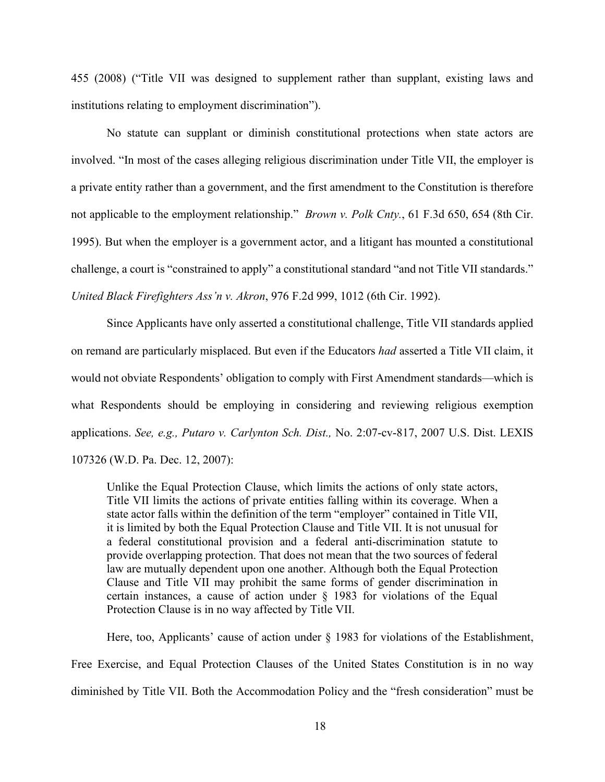455 (2008) ("Title VII was designed to supplement rather than supplant, existing laws and institutions relating to employment discrimination").

<span id="page-28-0"></span>No statute can supplant or diminish constitutional protections when state actors are involved. "In most of the cases alleging religious discrimination under Title VII, the employer is a private entity rather than a government, and the first amendment to the Constitution is therefore not applicable to the employment relationship." *Brown v. Polk Cnty.*, 61 F.3d 650, 654 (8th Cir. 1995). But when the employer is a government actor, and a litigant has mounted a constitutional challenge, a court is "constrained to apply" a constitutional standard "and not Title VII standards." *United Black Firefighters Ass'n v. Akron*, 976 F.2d 999, 1012 (6th Cir. 1992).

<span id="page-28-2"></span>Since Applicants have only asserted a constitutional challenge, Title VII standards applied on remand are particularly misplaced. But even if the Educators *had* asserted a Title VII claim, it would not obviate Respondents' obligation to comply with First Amendment standards—which is what Respondents should be employing in considering and reviewing religious exemption applications. *See, e.g., Putaro v. Carlynton Sch. Dist.,* No. 2:07-cv-817, 2007 U.S. Dist. LEXIS 107326 (W.D. Pa. Dec. 12, 2007):

<span id="page-28-3"></span><span id="page-28-1"></span>Unlike the Equal Protection Clause, which limits the actions of only state actors, Title VII limits the actions of private entities falling within its coverage. When a state actor falls within the definition of the term "employer" contained in Title VII, it is limited by both the Equal Protection Clause and Title VII. It is not unusual for a federal constitutional provision and a federal anti-discrimination statute to provide overlapping protection. That does not mean that the two sources of federal law are mutually dependent upon one another. Although both the Equal Protection Clause and Title VII may prohibit the same forms of gender discrimination in certain instances, a cause of action under § 1983 for violations of the Equal Protection Clause is in no way affected by Title VII.

Here, too, Applicants' cause of action under § 1983 for violations of the Establishment, Free Exercise, and Equal Protection Clauses of the United States Constitution is in no way diminished by Title VII. Both the Accommodation Policy and the "fresh consideration" must be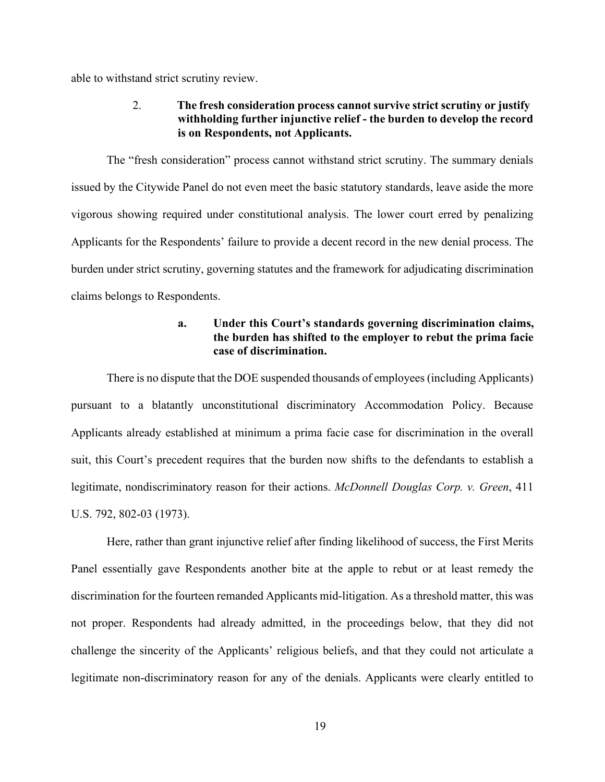able to withstand strict scrutiny review.

## 2. **The fresh consideration process cannot survive strict scrutiny or justify withholding further injunctive relief - the burden to develop the record is on Respondents, not Applicants.**

The "fresh consideration" process cannot withstand strict scrutiny. The summary denials issued by the Citywide Panel do not even meet the basic statutory standards, leave aside the more vigorous showing required under constitutional analysis. The lower court erred by penalizing Applicants for the Respondents' failure to provide a decent record in the new denial process. The burden under strict scrutiny, governing statutes and the framework for adjudicating discrimination claims belongs to Respondents.

## <span id="page-29-0"></span>**a. Under this Court's standards governing discrimination claims, the burden has shifted to the employer to rebut the prima facie case of discrimination.**

There is no dispute that the DOE suspended thousands of employees (including Applicants) pursuant to a blatantly unconstitutional discriminatory Accommodation Policy. Because Applicants already established at minimum a prima facie case for discrimination in the overall suit, this Court's precedent requires that the burden now shifts to the defendants to establish a legitimate, nondiscriminatory reason for their actions. *McDonnell Douglas Corp. v. Green*, 411 U.S. 792, 802-03 (1973).

Here, rather than grant injunctive relief after finding likelihood of success, the First Merits Panel essentially gave Respondents another bite at the apple to rebut or at least remedy the discrimination for the fourteen remanded Applicants mid-litigation. As a threshold matter, this was not proper. Respondents had already admitted, in the proceedings below, that they did not challenge the sincerity of the Applicants' religious beliefs, and that they could not articulate a legitimate non-discriminatory reason for any of the denials. Applicants were clearly entitled to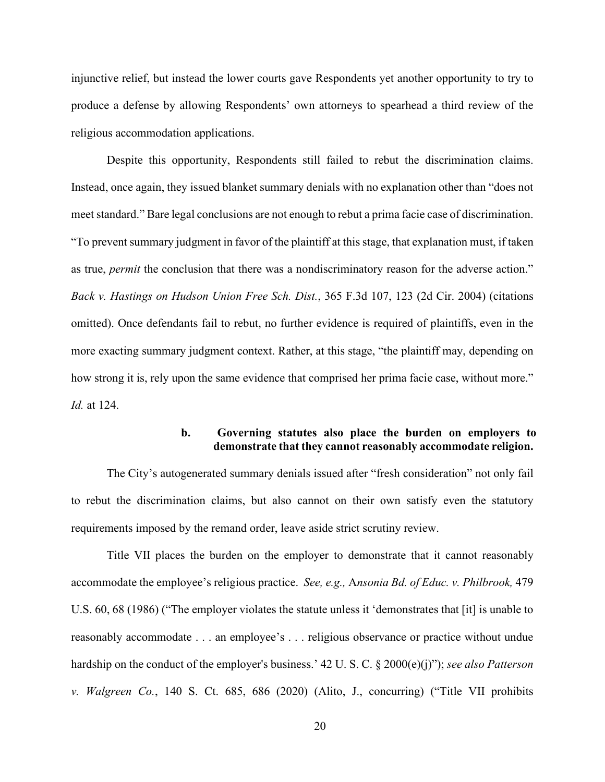injunctive relief, but instead the lower courts gave Respondents yet another opportunity to try to produce a defense by allowing Respondents' own attorneys to spearhead a third review of the religious accommodation applications.

Despite this opportunity, Respondents still failed to rebut the discrimination claims. Instead, once again, they issued blanket summary denials with no explanation other than "does not meet standard." Bare legal conclusions are not enough to rebut a prima facie case of discrimination. "To prevent summary judgment in favor of the plaintiff at this stage, that explanation must, if taken as true, *permit* the conclusion that there was a nondiscriminatory reason for the adverse action." *Back v. Hastings on Hudson Union Free Sch. Dist.*, 365 F.3d 107, 123 (2d Cir. 2004) (citations omitted). Once defendants fail to rebut, no further evidence is required of plaintiffs, even in the more exacting summary judgment context. Rather, at this stage, "the plaintiff may, depending on how strong it is, rely upon the same evidence that comprised her prima facie case, without more." *Id.* at 124.

## <span id="page-30-2"></span><span id="page-30-0"></span>**b. Governing statutes also place the burden on employers to demonstrate that they cannot reasonably accommodate religion.**

<span id="page-30-1"></span>The City's autogenerated summary denials issued after "fresh consideration" not only fail to rebut the discrimination claims, but also cannot on their own satisfy even the statutory requirements imposed by the remand order, leave aside strict scrutiny review.

Title VII places the burden on the employer to demonstrate that it cannot reasonably accommodate the employee's religious practice. *See, e.g.,* A*nsonia Bd. of Educ. v. Philbrook,* 479 U.S. 60, 68 (1986) ("The employer violates the statute unless it 'demonstrates that [it] is unable to reasonably accommodate . . . an employee's . . . religious observance or practice without undue hardship on the conduct of the employer's business.' 42 U. S. C. § 2000(e)(j)"); *see also Patterson v. Walgreen Co.*, 140 S. Ct. 685, 686 (2020) (Alito, J., concurring) ("Title VII prohibits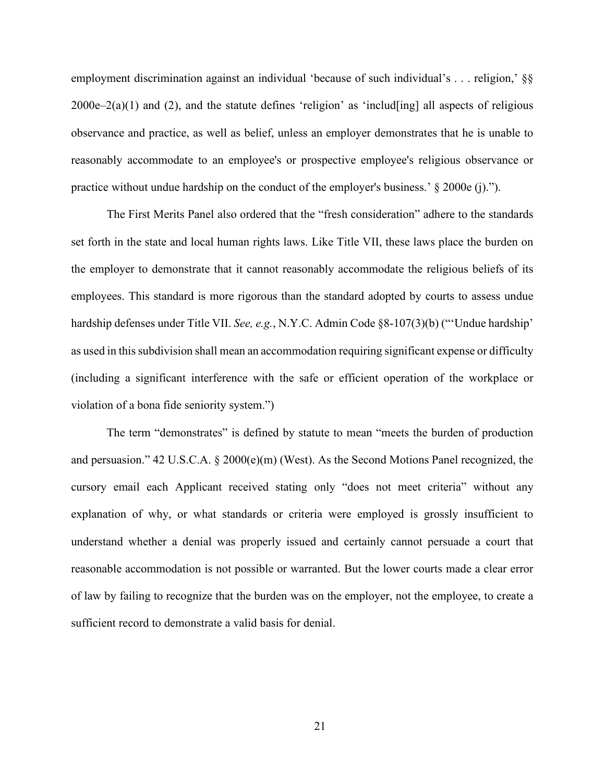employment discrimination against an individual 'because of such individual's . . . religion,' §§  $2000e-2(a)(1)$  and (2), and the statute defines 'religion' as 'includ[ing] all aspects of religious observance and practice, as well as belief, unless an employer demonstrates that he is unable to reasonably accommodate to an employee's or prospective employee's religious observance or practice without undue hardship on the conduct of the employer's business.' § 2000e (j).").

The First Merits Panel also ordered that the "fresh consideration" adhere to the standards set forth in the state and local human rights laws. Like Title VII, these laws place the burden on the employer to demonstrate that it cannot reasonably accommodate the religious beliefs of its employees. This standard is more rigorous than the standard adopted by courts to assess undue hardship defenses under Title VII. *See, e.g.*, N.Y.C. Admin Code §8-107(3)(b) ("'Undue hardship' as used in this subdivision shall mean an accommodation requiring significant expense or difficulty (including a significant interference with the safe or efficient operation of the workplace or violation of a bona fide seniority system.")

<span id="page-31-0"></span>The term "demonstrates" is defined by statute to mean "meets the burden of production and persuasion." 42 U.S.C.A. § 2000(e)(m) (West). As the Second Motions Panel recognized, the cursory email each Applicant received stating only "does not meet criteria" without any explanation of why, or what standards or criteria were employed is grossly insufficient to understand whether a denial was properly issued and certainly cannot persuade a court that reasonable accommodation is not possible or warranted. But the lower courts made a clear error of law by failing to recognize that the burden was on the employer, not the employee, to create a sufficient record to demonstrate a valid basis for denial.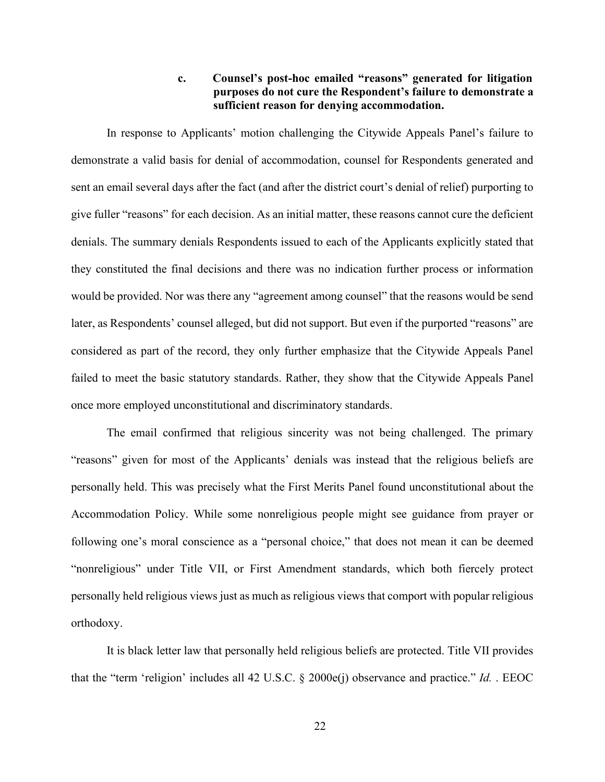## **c. Counsel's post-hoc emailed "reasons" generated for litigation purposes do not cure the Respondent's failure to demonstrate a sufficient reason for denying accommodation.**

In response to Applicants' motion challenging the Citywide Appeals Panel's failure to demonstrate a valid basis for denial of accommodation, counsel for Respondents generated and sent an email several days after the fact (and after the district court's denial of relief) purporting to give fuller "reasons" for each decision. As an initial matter, these reasons cannot cure the deficient denials. The summary denials Respondents issued to each of the Applicants explicitly stated that they constituted the final decisions and there was no indication further process or information would be provided. Nor was there any "agreement among counsel" that the reasons would be send later, as Respondents' counsel alleged, but did not support. But even if the purported "reasons" are considered as part of the record, they only further emphasize that the Citywide Appeals Panel failed to meet the basic statutory standards. Rather, they show that the Citywide Appeals Panel once more employed unconstitutional and discriminatory standards.

The email confirmed that religious sincerity was not being challenged. The primary "reasons" given for most of the Applicants' denials was instead that the religious beliefs are personally held. This was precisely what the First Merits Panel found unconstitutional about the Accommodation Policy. While some nonreligious people might see guidance from prayer or following one's moral conscience as a "personal choice," that does not mean it can be deemed "nonreligious" under Title VII, or First Amendment standards, which both fiercely protect personally held religious views just as much as religious views that comport with popular religious orthodoxy.

<span id="page-32-0"></span>It is black letter law that personally held religious beliefs are protected. Title VII provides that the "term 'religion' includes all 42 U.S.C. § 2000e(j) observance and practice." *Id.* . EEOC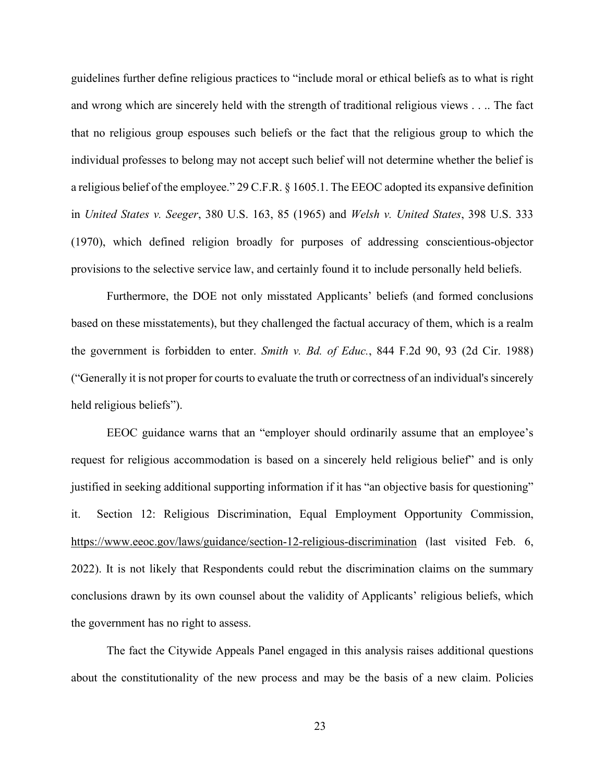<span id="page-33-4"></span>guidelines further define religious practices to "include moral or ethical beliefs as to what is right and wrong which are sincerely held with the strength of traditional religious views . . .. The fact that no religious group espouses such beliefs or the fact that the religious group to which the individual professes to belong may not accept such belief will not determine whether the belief is a religious belief of the employee." 29 C.F.R. § 1605.1. The EEOC adopted its expansive definition in *United States v. Seeger*, 380 U.S. 163, 85 (1965) and *Welsh v. United States*, 398 U.S. 333 (1970), which defined religion broadly for purposes of addressing conscientious-objector provisions to the selective service law, and certainly found it to include personally held beliefs.

<span id="page-33-2"></span><span id="page-33-1"></span><span id="page-33-0"></span>Furthermore, the DOE not only misstated Applicants' beliefs (and formed conclusions based on these misstatements), but they challenged the factual accuracy of them, which is a realm the government is forbidden to enter. *Smith v. Bd. of Educ.*, 844 F.2d 90, 93 (2d Cir. 1988) ("Generally it is not proper for courts to evaluate the truth or correctness of an individual's sincerely held religious beliefs").

<span id="page-33-3"></span>EEOC guidance warns that an "employer should ordinarily assume that an employee's request for religious accommodation is based on a sincerely held religious belief" and is only justified in seeking additional supporting information if it has "an objective basis for questioning" it. Section 12: Religious Discrimination, Equal Employment Opportunity Commission, <https://www.eeoc.gov/laws/guidance/section-12-religious-discrimination> (last visited Feb. 6, 2022). It is not likely that Respondents could rebut the discrimination claims on the summary conclusions drawn by its own counsel about the validity of Applicants' religious beliefs, which the government has no right to assess.

The fact the Citywide Appeals Panel engaged in this analysis raises additional questions about the constitutionality of the new process and may be the basis of a new claim. Policies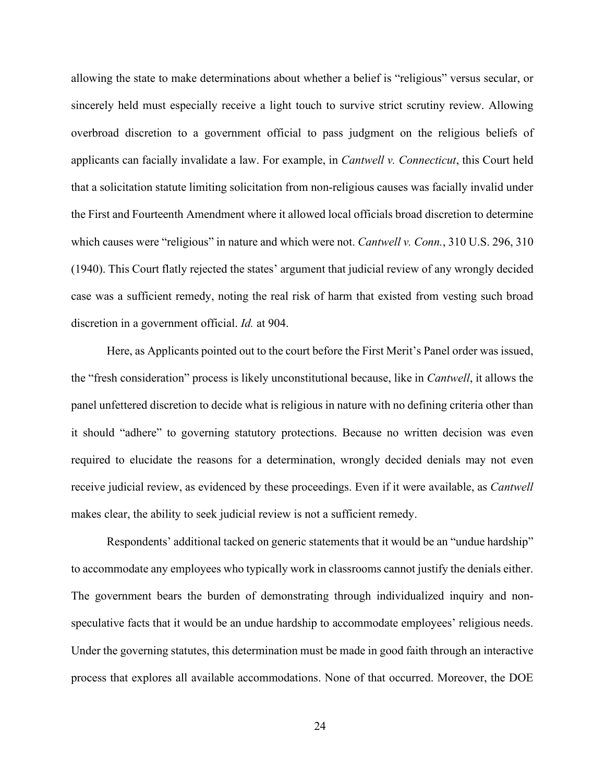allowing the state to make determinations about whether a belief is "religious" versus secular, or sincerely held must especially receive a light touch to survive strict scrutiny review. Allowing overbroad discretion to a government official to pass judgment on the religious beliefs of applicants can facially invalidate a law. For example, in *Cantwell v. Connecticut*, this Court held that a solicitation statute limiting solicitation from non-religious causes was facially invalid under the First and Fourteenth Amendment where it allowed local officials broad discretion to determine which causes were "religious" in nature and which were not. *Cantwell v. Conn.*, 310 U.S. 296, 310 (1940). This Court flatly rejected the states' argument that judicial review of any wrongly decided case was a sufficient remedy, noting the real risk of harm that existed from vesting such broad discretion in a government official. *Id.* at 904.

<span id="page-34-1"></span><span id="page-34-0"></span>Here, as Applicants pointed out to the court before the First Merit's Panel order was issued, the "fresh consideration" process is likely unconstitutional because, like in *Cantwell*, it allows the panel unfettered discretion to decide what is religious in nature with no defining criteria other than it should "adhere" to governing statutory protections. Because no written decision was even required to elucidate the reasons for a determination, wrongly decided denials may not even receive judicial review, as evidenced by these proceedings. Even if it were available, as *Cantwell*  makes clear, the ability to seek judicial review is not a sufficient remedy.

Respondents' additional tacked on generic statements that it would be an "undue hardship" to accommodate any employees who typically work in classrooms cannot justify the denials either. The government bears the burden of demonstrating through individualized inquiry and nonspeculative facts that it would be an undue hardship to accommodate employees' religious needs. Under the governing statutes, this determination must be made in good faith through an interactive process that explores all available accommodations. None of that occurred. Moreover, the DOE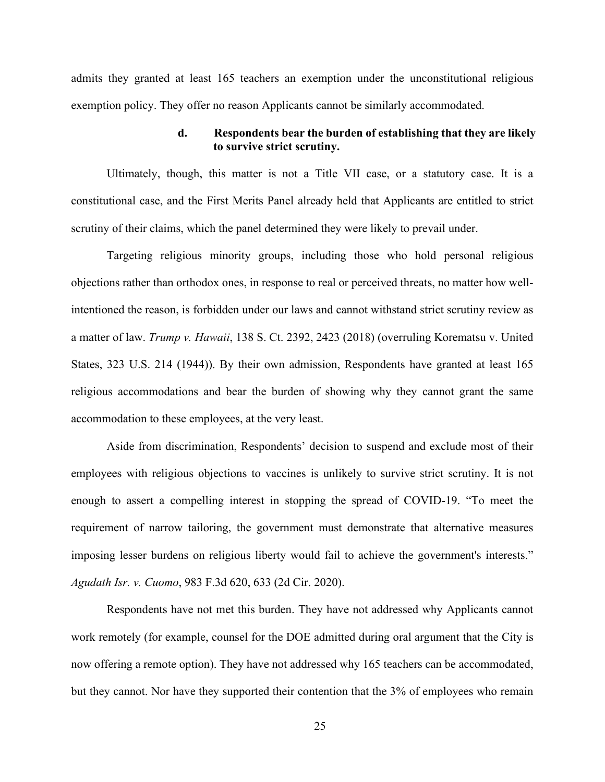admits they granted at least 165 teachers an exemption under the unconstitutional religious exemption policy. They offer no reason Applicants cannot be similarly accommodated.

### **d. Respondents bear the burden of establishing that they are likely to survive strict scrutiny.**

Ultimately, though, this matter is not a Title VII case, or a statutory case. It is a constitutional case, and the First Merits Panel already held that Applicants are entitled to strict scrutiny of their claims, which the panel determined they were likely to prevail under.

<span id="page-35-1"></span>Targeting religious minority groups, including those who hold personal religious objections rather than orthodox ones, in response to real or perceived threats, no matter how wellintentioned the reason, is forbidden under our laws and cannot withstand strict scrutiny review as a matter of law. *Trump v. Hawaii*, 138 S. Ct. 2392, 2423 (2018) (overruling Korematsu v. United States, 323 U.S. 214 (1944)). By their own admission, Respondents have granted at least 165 religious accommodations and bear the burden of showing why they cannot grant the same accommodation to these employees, at the very least.

Aside from discrimination, Respondents' decision to suspend and exclude most of their employees with religious objections to vaccines is unlikely to survive strict scrutiny. It is not enough to assert a compelling interest in stopping the spread of COVID-19. "To meet the requirement of narrow tailoring, the government must demonstrate that alternative measures imposing lesser burdens on religious liberty would fail to achieve the government's interests." *Agudath Isr. v. Cuomo*, 983 F.3d 620, 633 (2d Cir. 2020).

<span id="page-35-0"></span>Respondents have not met this burden. They have not addressed why Applicants cannot work remotely (for example, counsel for the DOE admitted during oral argument that the City is now offering a remote option). They have not addressed why 165 teachers can be accommodated, but they cannot. Nor have they supported their contention that the 3% of employees who remain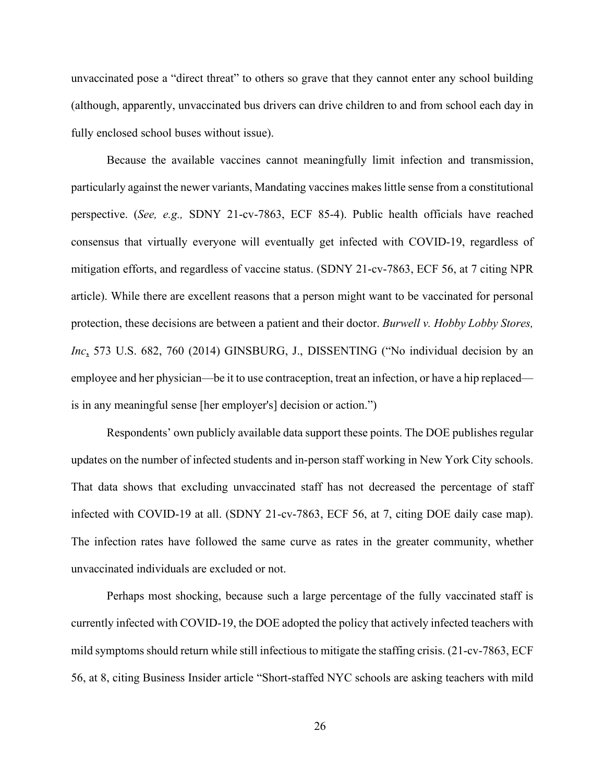unvaccinated pose a "direct threat" to others so grave that they cannot enter any school building (although, apparently, unvaccinated bus drivers can drive children to and from school each day in fully enclosed school buses without issue).

Because the available vaccines cannot meaningfully limit infection and transmission, particularly against the newer variants, Mandating vaccines makes little sense from a constitutional perspective. (*See, e.g.,* SDNY 21-cv-7863, ECF 85-4). Public health officials have reached consensus that virtually everyone will eventually get infected with COVID-19, regardless of mitigation efforts, and regardless of vaccine status. (SDNY 21-cv-7863, ECF 56, at 7 citing NPR article). While there are excellent reasons that a person might want to be vaccinated for personal protection, these decisions are between a patient and their doctor. *Burwell v. Hobby Lobby Stores, Inc*, 573 U.S. 682, 760 (2014) GINSBURG, J., DISSENTING ("No individual decision by an employee and her physician—be it to use contraception, treat an infection, or have a hip replaced is in any meaningful sense [her employer's] decision or action.")

<span id="page-36-0"></span>Respondents' own publicly available data support these points. The DOE publishes regular updates on the number of infected students and in-person staff working in New York City schools. That data shows that excluding unvaccinated staff has not decreased the percentage of staff infected with COVID-19 at all. (SDNY 21-cv-7863, ECF 56, at 7, citing DOE daily case ma[p\).](https://www.schools.nyc.gov/school-life/health-and-wellness/covid-information/daily-covid-case-map).) The infection rates have followed the same curve as rates in the greater community, whether unvaccinated individuals are excluded or not.

Perhaps most shocking, because such a large percentage of the fully vaccinated staff is currently infected with COVID-19, the DOE adopted the policy that actively infected teachers with mild symptoms should return while still infectious to mitigate the staffing crisis. (21-cv-7863, ECF 56, at 8, citing Business Insider article "Short-staffed NYC schools are asking teachers with mild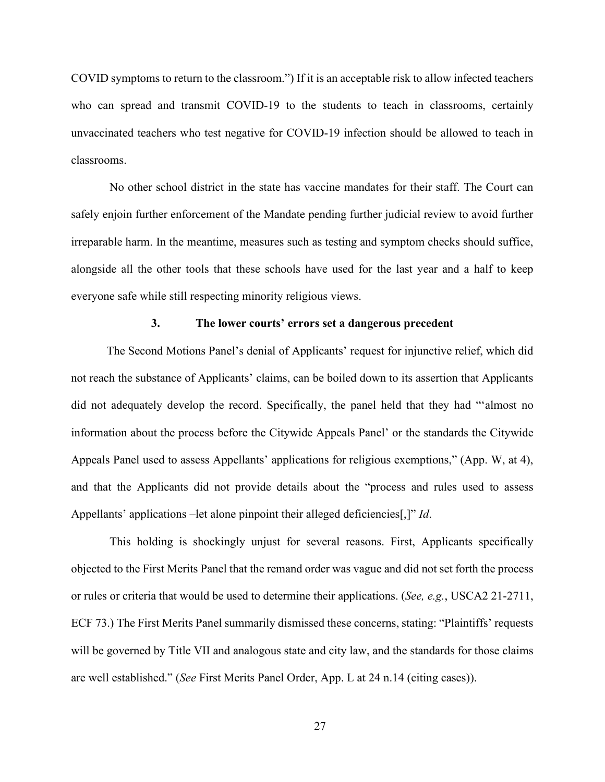COVID symptoms to return to the classroom.") If it is an acceptable risk to allow infected teachers who can spread and transmit COVID-19 to the students to teach in classrooms, certainly unvaccinated teachers who test negative for COVID-19 infection should be allowed to teach in classrooms.

 No other school district in the state has vaccine mandates for their staff. The Court can safely enjoin further enforcement of the Mandate pending further judicial review to avoid further irreparable harm. In the meantime, measures such as testing and symptom checks should suffice, alongside all the other tools that these schools have used for the last year and a half to keep everyone safe while still respecting minority religious views.

## <span id="page-37-0"></span>**3. The lower courts' errors set a dangerous precedent**

The Second Motions Panel's denial of Applicants' request for injunctive relief, which did not reach the substance of Applicants' claims, can be boiled down to its assertion that Applicants did not adequately develop the record. Specifically, the panel held that they had "'almost no information about the process before the Citywide Appeals Panel' or the standards the Citywide Appeals Panel used to assess Appellants' applications for religious exemptions," (App. W, at 4), and that the Applicants did not provide details about the "process and rules used to assess Appellants' applications –let alone pinpoint their alleged deficiencies[,]" *Id*.

 This holding is shockingly unjust for several reasons. First, Applicants specifically objected to the First Merits Panel that the remand order was vague and did not set forth the process or rules or criteria that would be used to determine their applications. (*See, e.g.*, USCA2 21-2711, ECF 73.) The First Merits Panel summarily dismissed these concerns, stating: "Plaintiffs' requests will be governed by Title VII and analogous state and city law, and the standards for those claims are well established." (*See* First Merits Panel Order, App. L at 24 n.14 (citing cases)).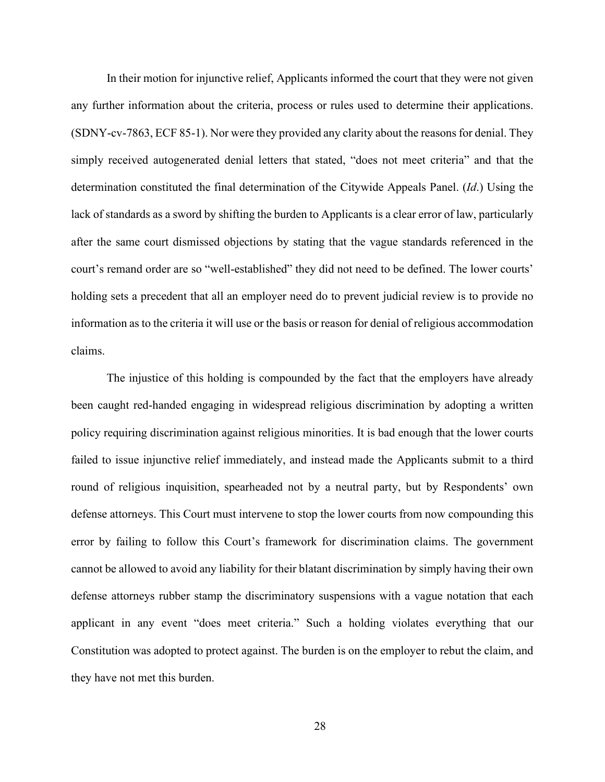<span id="page-38-0"></span>In their motion for injunctive relief, Applicants informed the court that they were not given any further information about the criteria, process or rules used to determine their applications. (SDNY-cv-7863, ECF 85-1). Nor were they provided any clarity about the reasons for denial. They simply received autogenerated denial letters that stated, "does not meet criteria" and that the determination constituted the final determination of the Citywide Appeals Panel. (*Id*.) Using the lack of standards as a sword by shifting the burden to Applicants is a clear error of law, particularly after the same court dismissed objections by stating that the vague standards referenced in the court's remand order are so "well-established" they did not need to be defined. The lower courts' holding sets a precedent that all an employer need do to prevent judicial review is to provide no information as to the criteria it will use or the basis or reason for denial of religious accommodation claims.

The injustice of this holding is compounded by the fact that the employers have already been caught red-handed engaging in widespread religious discrimination by adopting a written policy requiring discrimination against religious minorities. It is bad enough that the lower courts failed to issue injunctive relief immediately, and instead made the Applicants submit to a third round of religious inquisition, spearheaded not by a neutral party, but by Respondents' own defense attorneys. This Court must intervene to stop the lower courts from now compounding this error by failing to follow this Court's framework for discrimination claims. The government cannot be allowed to avoid any liability for their blatant discrimination by simply having their own defense attorneys rubber stamp the discriminatory suspensions with a vague notation that each applicant in any event "does meet criteria." Such a holding violates everything that our Constitution was adopted to protect against. The burden is on the employer to rebut the claim, and they have not met this burden.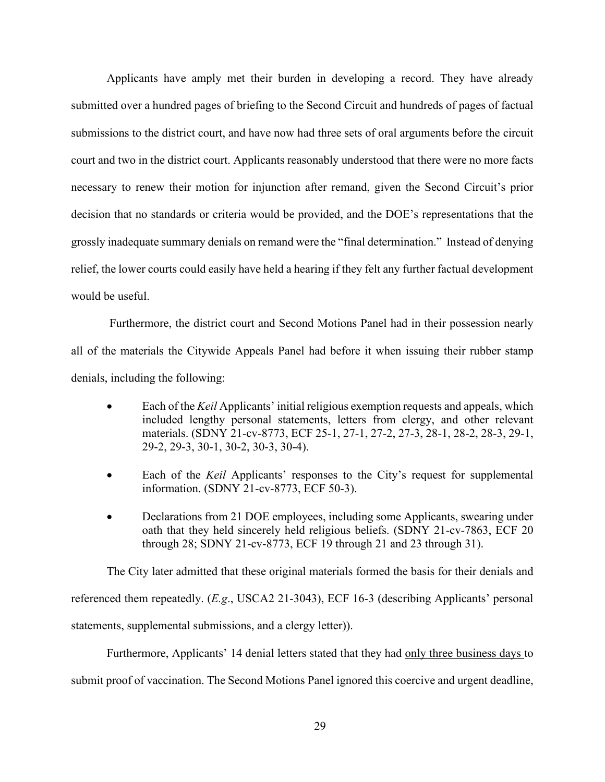Applicants have amply met their burden in developing a record. They have already submitted over a hundred pages of briefing to the Second Circuit and hundreds of pages of factual submissions to the district court, and have now had three sets of oral arguments before the circuit court and two in the district court. Applicants reasonably understood that there were no more facts necessary to renew their motion for injunction after remand, given the Second Circuit's prior decision that no standards or criteria would be provided, and the DOE's representations that the grossly inadequate summary denials on remand were the "final determination." Instead of denying relief, the lower courts could easily have held a hearing if they felt any further factual development would be useful.

Furthermore, the district court and Second Motions Panel had in their possession nearly all of the materials the Citywide Appeals Panel had before it when issuing their rubber stamp denials, including the following:

- Each of the *Keil* Applicants' initial religious exemption requests and appeals, which included lengthy personal statements, letters from clergy, and other relevant materials. (SDNY 21-cv-8773, ECF 25-1, 27-1, 27-2, 27-3, 28-1, 28-2, 28-3, 29-1, 29-2, 29-3, 30-1, 30-2, 30-3, 30-4).
- Each of the *Keil* Applicants' responses to the City's request for supplemental information. (SDNY 21-cv-8773, ECF 50-3).
- Declarations from 21 DOE employees, including some Applicants, swearing under oath that they held sincerely held religious beliefs. (SDNY 21-cv-7863, ECF 20 through 28; SDNY 21-cv-8773, ECF 19 through 21 and 23 through 31).

The City later admitted that these original materials formed the basis for their denials and referenced them repeatedly. (*E.g*., USCA2 21-3043), ECF 16-3 (describing Applicants' personal statements, supplemental submissions, and a clergy letter)).

Furthermore, Applicants' 14 denial letters stated that they had only three business days to submit proof of vaccination. The Second Motions Panel ignored this coercive and urgent deadline,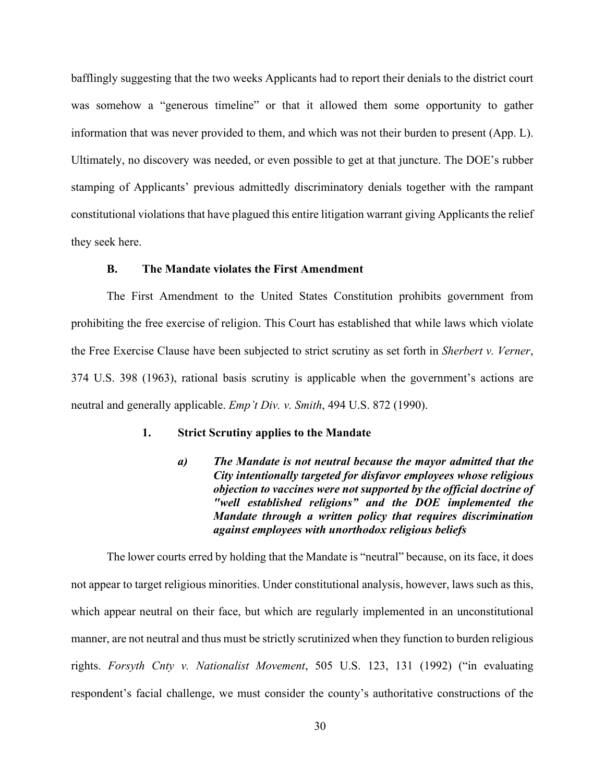bafflingly suggesting that the two weeks Applicants had to report their denials to the district court was somehow a "generous timeline" or that it allowed them some opportunity to gather information that was never provided to them, and which was not their burden to present (App. L). Ultimately, no discovery was needed, or even possible to get at that juncture. The DOE's rubber stamping of Applicants' previous admittedly discriminatory denials together with the rampant constitutional violations that have plagued this entire litigation warrant giving Applicants the relief they seek here.

#### **B. The Mandate violates the First Amendment**

The First Amendment to the United States Constitution prohibits government from prohibiting the free exercise of religion. This Court has established that while laws which violate the Free Exercise Clause have been subjected to strict scrutiny as set forth in *Sherbert v. Verner*, 374 U.S. 398 (1963), rational basis scrutiny is applicable when the government's actions are neutral and generally applicable. *Emp't Div. v. Smith*, 494 U.S. 872 (1990).

#### **1. Strict Scrutiny applies to the Mandate**

<span id="page-40-2"></span><span id="page-40-0"></span>*a) The Mandate is not neutral because the mayor admitted that the City intentionally targeted for disfavor employees whose religious objection to vaccines were not supported by the official doctrine of "well established religions" and the DOE implemented the Mandate through a written policy that requires discrimination against employees with unorthodox religious beliefs*

<span id="page-40-1"></span>The lower courts erred by holding that the Mandate is "neutral" because, on its face, it does not appear to target religious minorities. Under constitutional analysis, however, laws such as this, which appear neutral on their face, but which are regularly implemented in an unconstitutional manner, are not neutral and thus must be strictly scrutinized when they function to burden religious rights. *Forsyth Cnty v. Nationalist Movement*, 505 U.S. 123, 131 (1992) ("in evaluating respondent's facial challenge, we must consider the county's authoritative constructions of the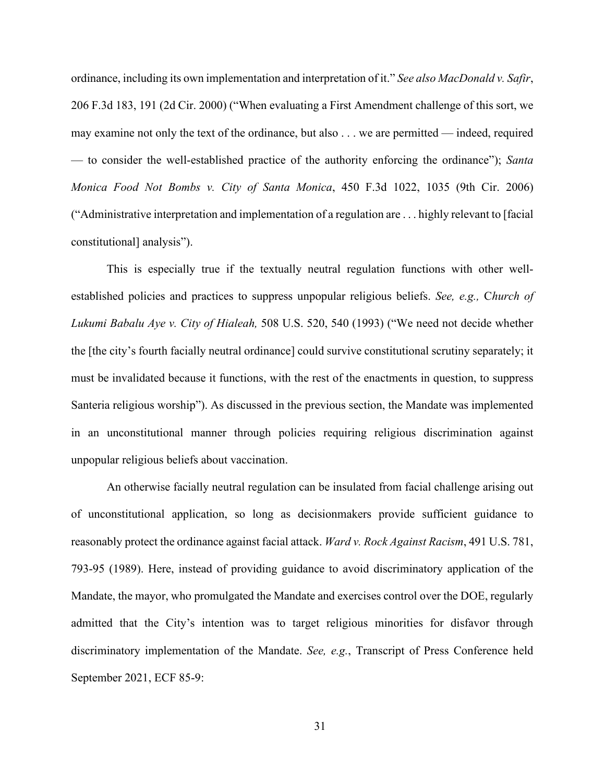<span id="page-41-2"></span><span id="page-41-1"></span>ordinance, including its own implementation and interpretation of it." *See also MacDonald v. Safir*, 206 F.3d 183, 191 (2d Cir. 2000) ("When evaluating a First Amendment challenge of this sort, we may examine not only the text of the ordinance, but also . . . we are permitted — indeed, required — to consider the well-established practice of the authority enforcing the ordinance"); *Santa Monica Food Not Bombs v. City of Santa Monica*, 450 F.3d 1022, 1035 (9th Cir. 2006) ("Administrative interpretation and implementation of a regulation are . . . highly relevant to [facial constitutional] analysis").

<span id="page-41-0"></span>This is especially true if the textually neutral regulation functions with other wellestablished policies and practices to suppress unpopular religious beliefs. *See, e.g.,* C*hurch of Lukumi Babalu Aye v. City of Hialeah,* 508 U.S. 520, 540 (1993) ("We need not decide whether the [the city's fourth facially neutral ordinance] could survive constitutional scrutiny separately; it must be invalidated because it functions, with the rest of the enactments in question, to suppress Santeria religious worship"). As discussed in the previous section, the Mandate was implemented in an unconstitutional manner through policies requiring religious discrimination against unpopular religious beliefs about vaccination.

<span id="page-41-3"></span>An otherwise facially neutral regulation can be insulated from facial challenge arising out of unconstitutional application, so long as decisionmakers provide sufficient guidance to reasonably protect the ordinance against facial attack. *Ward v. Rock Against Racism*, 491 U.S. 781, 793-95 (1989). Here, instead of providing guidance to avoid discriminatory application of the Mandate, the mayor, who promulgated the Mandate and exercises control over the DOE, regularly admitted that the City's intention was to target religious minorities for disfavor through discriminatory implementation of the Mandate. *See, e.g.*, Transcript of Press Conference held September 2021, ECF 85-9: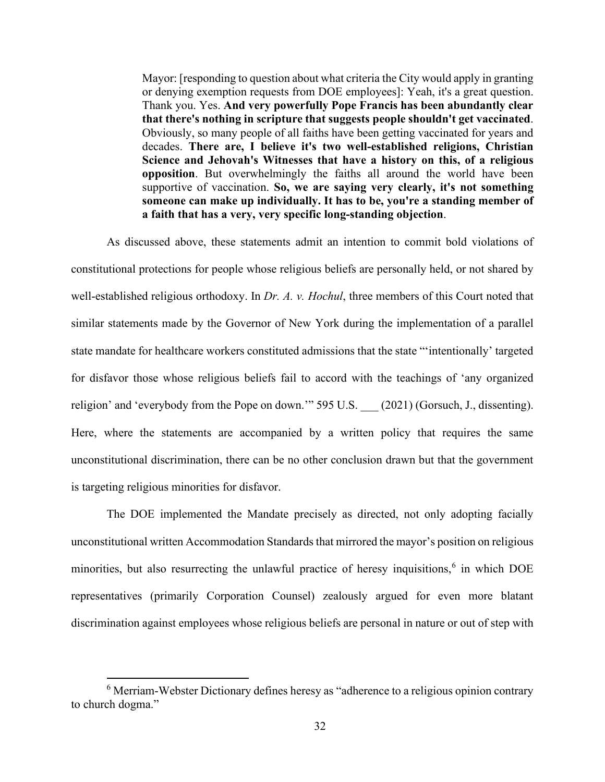Mayor: [responding to question about what criteria the City would apply in granting or denying exemption requests from DOE employees]: Yeah, it's a great question. Thank you. Yes. **And very powerfully Pope Francis has been abundantly clear that there's nothing in scripture that suggests people shouldn't get vaccinated**. Obviously, so many people of all faiths have been getting vaccinated for years and decades. **There are, I believe it's two well-established religions, Christian Science and Jehovah's Witnesses that have a history on this, of a religious opposition**. But overwhelmingly the faiths all around the world have been supportive of vaccination. **So, we are saying very clearly, it's not something someone can make up individually. It has to be, you're a standing member of a faith that has a very, very specific long-standing objection**.

As discussed above, these statements admit an intention to commit bold violations of constitutional protections for people whose religious beliefs are personally held, or not shared by well-established religious orthodoxy. In *Dr. A. v. Hochul*, three members of this Court noted that similar statements made by the Governor of New York during the implementation of a parallel state mandate for healthcare workers constituted admissions that the state "'intentionally' targeted for disfavor those whose religious beliefs fail to accord with the teachings of 'any organized religion' and 'everybody from the Pope on down." 595 U.S. (2021) (Gorsuch, J., dissenting). Here, where the statements are accompanied by a written policy that requires the same unconstitutional discrimination, there can be no other conclusion drawn but that the government is targeting religious minorities for disfavor.

The DOE implemented the Mandate precisely as directed, not only adopting facially unconstitutional written Accommodation Standards that mirrored the mayor's position on religious minorities, but also resurrecting the unlawful practice of heresy inquisitions,<sup>[6](#page-42-0)</sup> in which DOE representatives (primarily Corporation Counsel) zealously argued for even more blatant discrimination against employees whose religious beliefs are personal in nature or out of step with

<span id="page-42-0"></span><sup>&</sup>lt;sup>6</sup> Merriam-Webster Dictionary defines heresy as "adherence to a religious opinion contrary to church dogma."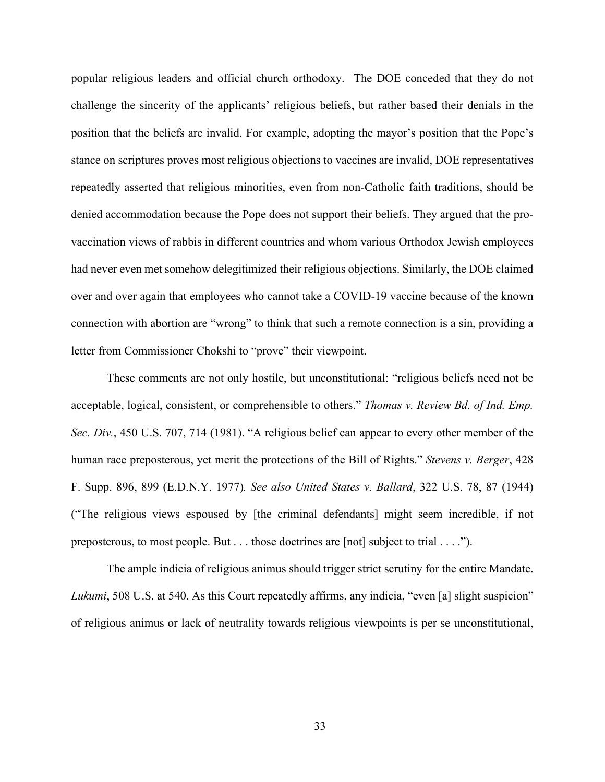popular religious leaders and official church orthodoxy. The DOE conceded that they do not challenge the sincerity of the applicants' religious beliefs, but rather based their denials in the position that the beliefs are invalid. For example, adopting the mayor's position that the Pope's stance on scriptures proves most religious objections to vaccines are invalid, DOE representatives repeatedly asserted that religious minorities, even from non-Catholic faith traditions, should be denied accommodation because the Pope does not support their beliefs. They argued that the provaccination views of rabbis in different countries and whom various Orthodox Jewish employees had never even met somehow delegitimized their religious objections. Similarly, the DOE claimed over and over again that employees who cannot take a COVID-19 vaccine because of the known connection with abortion are "wrong" to think that such a remote connection is a sin, providing a letter from Commissioner Chokshi to "prove" their viewpoint.

<span id="page-43-2"></span><span id="page-43-1"></span>These comments are not only hostile, but unconstitutional: "religious beliefs need not be acceptable, logical, consistent, or comprehensible to others." *Thomas v. Review Bd. of Ind. Emp. Sec. Div.*, 450 U.S. 707, 714 (1981). "A religious belief can appear to every other member of the human race preposterous, yet merit the protections of the Bill of Rights." *Stevens v. Berger*, 428 F. Supp. 896, 899 (E.D.N.Y. 1977)*. See also United States v. Ballard*, 322 U.S. 78, 87 (1944) ("The religious views espoused by [the criminal defendants] might seem incredible, if not preposterous, to most people. But . . . those doctrines are [not] subject to trial . . . .").

<span id="page-43-3"></span><span id="page-43-0"></span>The ample indicia of religious animus should trigger strict scrutiny for the entire Mandate. *Lukumi*, 508 U.S. at 540. As this Court repeatedly affirms, any indicia, "even [a] slight suspicion" of religious animus or lack of neutrality towards religious viewpoints is per se unconstitutional,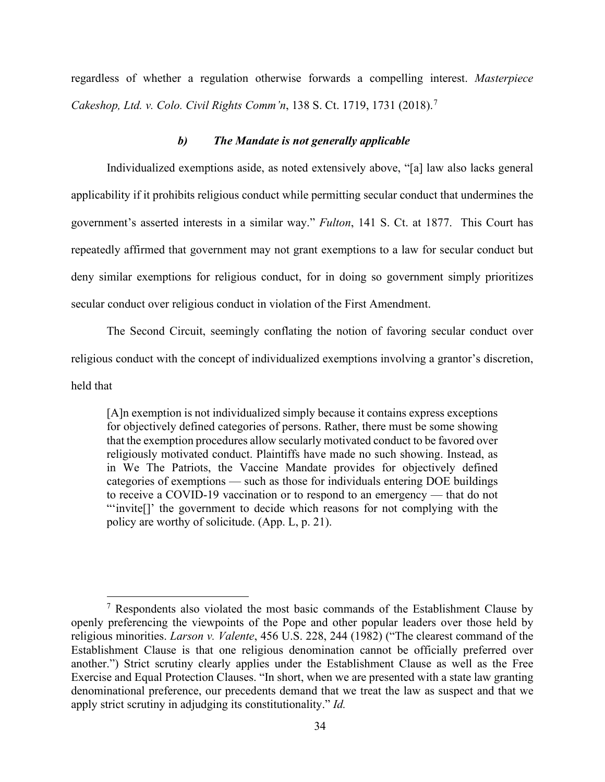regardless of whether a regulation otherwise forwards a compelling interest. *Masterpiece Cakeshop, Ltd. v. Colo. Civil Rights Comm'n*, 138 S. Ct. 1719, 1731 (2018). [7](#page-44-3)

#### <span id="page-44-2"></span><span id="page-44-0"></span>*b) The Mandate is not generally applicable*

Individualized exemptions aside, as noted extensively above, "[a] law also lacks general applicability if it prohibits religious conduct while permitting secular conduct that undermines the government's asserted interests in a similar way." *Fulton*, 141 S. Ct. at 1877. This Court has repeatedly affirmed that government may not grant exemptions to a law for secular conduct but deny similar exemptions for religious conduct, for in doing so government simply prioritizes secular conduct over religious conduct in violation of the First Amendment.

The Second Circuit, seemingly conflating the notion of favoring secular conduct over religious conduct with the concept of individualized exemptions involving a grantor's discretion, held that

[A]n exemption is not individualized simply because it contains express exceptions for objectively defined categories of persons. Rather, there must be some showing that the exemption procedures allow secularly motivated conduct to be favored over religiously motivated conduct. Plaintiffs have made no such showing. Instead, as in We The Patriots, the Vaccine Mandate provides for objectively defined categories of exemptions — such as those for individuals entering DOE buildings to receive a COVID-19 vaccination or to respond to an emergency — that do not "'invite[]' the government to decide which reasons for not complying with the policy are worthy of solicitude. (App. L, p. 21).

<span id="page-44-3"></span><span id="page-44-1"></span> $7$  Respondents also violated the most basic commands of the Establishment Clause by openly preferencing the viewpoints of the Pope and other popular leaders over those held by religious minorities. *Larson v. Valente*, 456 U.S. 228, 244 (1982) ("The clearest command of the Establishment Clause is that one religious denomination cannot be officially preferred over another.") Strict scrutiny clearly applies under the Establishment Clause as well as the Free Exercise and Equal Protection Clauses. "In short, when we are presented with a state law granting denominational preference, our precedents demand that we treat the law as suspect and that we apply strict scrutiny in adjudging its constitutionality." *Id.*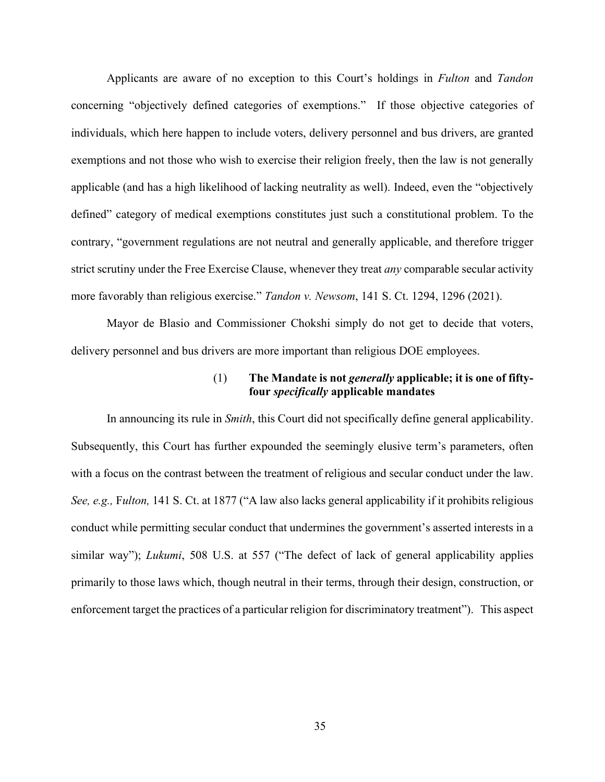Applicants are aware of no exception to this Court's holdings in *Fulton* and *Tandon* concerning "objectively defined categories of exemptions." If those objective categories of individuals, which here happen to include voters, delivery personnel and bus drivers, are granted exemptions and not those who wish to exercise their religion freely, then the law is not generally applicable (and has a high likelihood of lacking neutrality as well). Indeed, even the "objectively defined" category of medical exemptions constitutes just such a constitutional problem. To the contrary, "government regulations are not neutral and generally applicable, and therefore trigger strict scrutiny under the Free Exercise Clause, whenever they treat *any* comparable secular activity more favorably than religious exercise." *Tandon v. Newsom*, 141 S. Ct. 1294, 1296 (2021).

Mayor de Blasio and Commissioner Chokshi simply do not get to decide that voters, delivery personnel and bus drivers are more important than religious DOE employees.

### <span id="page-45-2"></span>(1) **The Mandate is not** *generally* **applicable; it is one of fiftyfour** *specifically* **applicable mandates**

<span id="page-45-1"></span><span id="page-45-0"></span>In announcing its rule in *Smith*, this Court did not specifically define general applicability. Subsequently, this Court has further expounded the seemingly elusive term's parameters, often with a focus on the contrast between the treatment of religious and secular conduct under the law. *See, e.g.,* F*ulton,* 141 S. Ct. at 1877 ("A law also lacks general applicability if it prohibits religious conduct while permitting secular conduct that undermines the government's asserted interests in a similar way"); *Lukumi*, 508 U.S. at 557 ("The defect of lack of general applicability applies primarily to those laws which, though neutral in their terms, through their design, construction, or enforcement target the practices of a particular religion for discriminatory treatment"). This aspect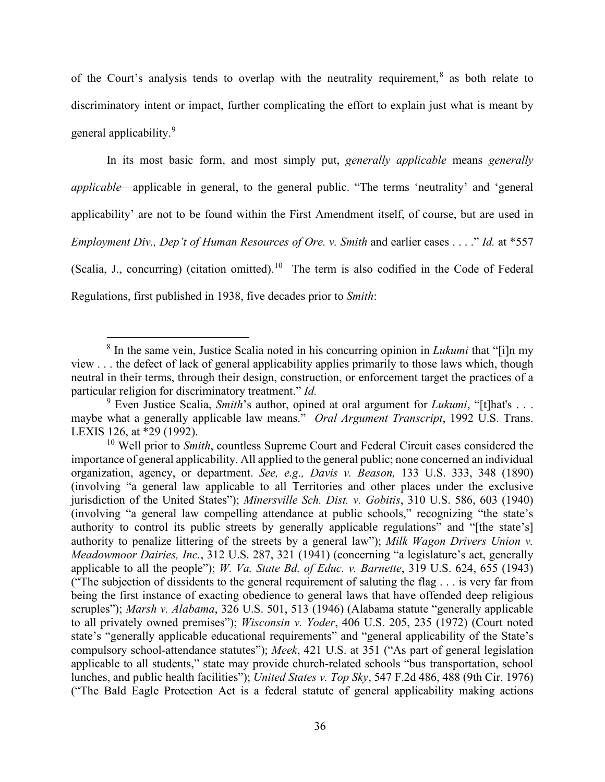of the Court's analysis tends to overlap with the neutrality requirement,  $\delta$  as both relate to discriminatory intent or impact, further complicating the effort to explain just what is meant by general applicability.<sup>[9](#page-46-11)</sup>

In its most basic form, and most simply put, *generally applicable* means *generally applicable*—applicable in general, to the general public. "The terms 'neutrality' and 'general applicability' are not to be found within the First Amendment itself, of course, but are used in *Employment Div., Dep't of Human Resources of Ore. v. Smith* and earlier cases . . . ." *Id.* at \*557 (Scalia, J., concurring) (citation omitted).<sup>[10](#page-46-12)</sup> The term is also codified in the Code of Federal Regulations, first published in 1938, five decades prior to *Smith*:

<span id="page-46-10"></span><sup>8</sup> In the same vein, Justice Scalia noted in his concurring opinion in *Lukumi* that "[i]n my view . . . the defect of lack of general applicability applies primarily to those laws which, though neutral in their terms, through their design, construction, or enforcement target the practices of a particular religion for discriminatory treatment." *Id.*

<span id="page-46-11"></span><span id="page-46-9"></span><span id="page-46-0"></span><sup>9</sup> Even Justice Scalia, *Smith*'s author, opined at oral argument for *Lukumi*, "[t]hat's . . . maybe what a generally applicable law means." *Oral Argument Transcript*, 1992 U.S. Trans. LEXIS 126, at \*29 (1992).

<span id="page-46-12"></span><span id="page-46-8"></span><span id="page-46-7"></span><span id="page-46-6"></span><span id="page-46-5"></span><span id="page-46-4"></span><span id="page-46-3"></span><span id="page-46-2"></span><span id="page-46-1"></span><sup>10</sup> Well prior to *Smith*, countless Supreme Court and Federal Circuit cases considered the importance of general applicability. All applied to the general public; none concerned an individual organization, agency, or department. *See, e.g., Davis v. Beason,* 133 U.S. 333, 348 (1890) (involving "a general law applicable to all Territories and other places under the exclusive jurisdiction of the United States"); *Minersville Sch. Dist. v. Gobitis*, 310 U.S. 586, 603 (1940) (involving "a general law compelling attendance at public schools," recognizing "the state's authority to control its public streets by generally applicable regulations" and "[the state's] authority to penalize littering of the streets by a general law"); *Milk Wagon Drivers Union v. Meadowmoor Dairies, Inc.*, 312 U.S. 287, 321 (1941) (concerning "a legislature's act, generally applicable to all the people"); *W. Va. State Bd. of Educ. v. Barnette*, 319 U.S. 624, 655 (1943) ("The subjection of dissidents to the general requirement of saluting the flag . . . is very far from being the first instance of exacting obedience to general laws that have offended deep religious scruples"); *Marsh v. Alabama*, 326 U.S. 501, 513 (1946) (Alabama statute "generally applicable to all privately owned premises"); *Wisconsin v. Yoder*, 406 U.S. 205, 235 (1972) (Court noted state's "generally applicable educational requirements" and "general applicability of the State's compulsory school-attendance statutes"); *Meek*, 421 U.S. at 351 ("As part of general legislation applicable to all students," state may provide church-related schools "bus transportation, school lunches, and public health facilities"); *United States v. Top Sky*, 547 F.2d 486, 488 (9th Cir. 1976) ("The Bald Eagle Protection Act is a federal statute of general applicability making actions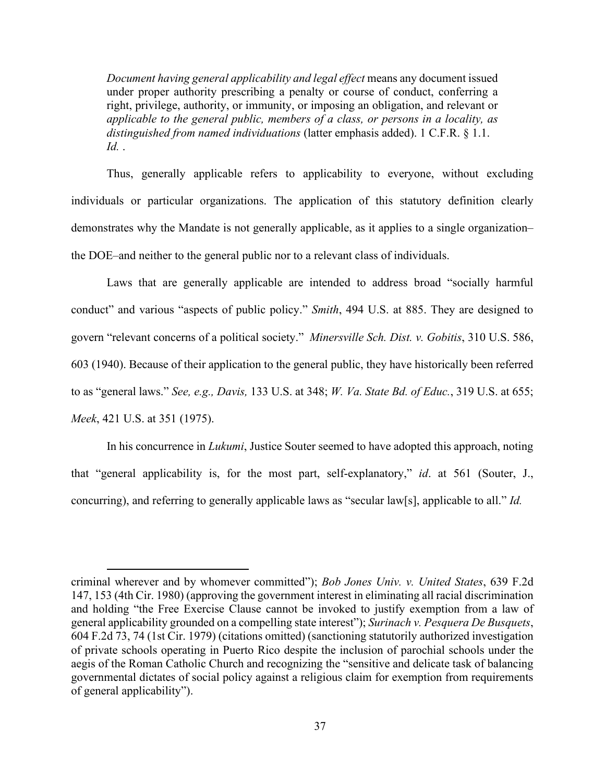*Document having general applicability and legal effect* means any document issued under proper authority prescribing a penalty or course of conduct, conferring a right, privilege, authority, or immunity, or imposing an obligation, and relevant or *applicable to the general public, members of a class, or persons in a locality, as distinguished from named individuations* (latter emphasis added). 1 C.F.R. § 1.1. *Id.* .

<span id="page-47-1"></span>Thus, generally applicable refers to applicability to everyone, without excluding individuals or particular organizations. The application of this statutory definition clearly demonstrates why the Mandate is not generally applicable, as it applies to a single organization– the DOE–and neither to the general public nor to a relevant class of individuals.

<span id="page-47-5"></span><span id="page-47-3"></span>Laws that are generally applicable are intended to address broad "socially harmful conduct" and various "aspects of public policy." *Smith*, 494 U.S. at 885. They are designed to govern "relevant concerns of a political society." *Minersville Sch. Dist. v. Gobitis*, 310 U.S. 586, 603 (1940). Because of their application to the general public, they have historically been referred to as "general laws." *See, e.g., Davis,* 133 U.S. at 348; *W. Va. State Bd. of Educ.*, 319 U.S. at 655; *Meek*, 421 U.S. at 351 (1975).

<span id="page-47-7"></span><span id="page-47-4"></span><span id="page-47-2"></span>In his concurrence in *Lukumi*, Justice Souter seemed to have adopted this approach, noting that "general applicability is, for the most part, self-explanatory," *id*. at 561 (Souter, J., concurring), and referring to generally applicable laws as "secular law[s], applicable to all." *Id.*

<span id="page-47-6"></span><span id="page-47-0"></span>criminal wherever and by whomever committed"); *Bob Jones Univ. v. United States*, 639 F.2d 147, 153 (4th Cir. 1980) (approving the government interest in eliminating all racial discrimination and holding "the Free Exercise Clause cannot be invoked to justify exemption from a law of general applicability grounded on a compelling state interest"); *Surinach v. Pesquera De Busquets*, 604 F.2d 73, 74 (1st Cir. 1979) (citations omitted) (sanctioning statutorily authorized investigation of private schools operating in Puerto Rico despite the inclusion of parochial schools under the aegis of the Roman Catholic Church and recognizing the "sensitive and delicate task of balancing governmental dictates of social policy against a religious claim for exemption from requirements of general applicability").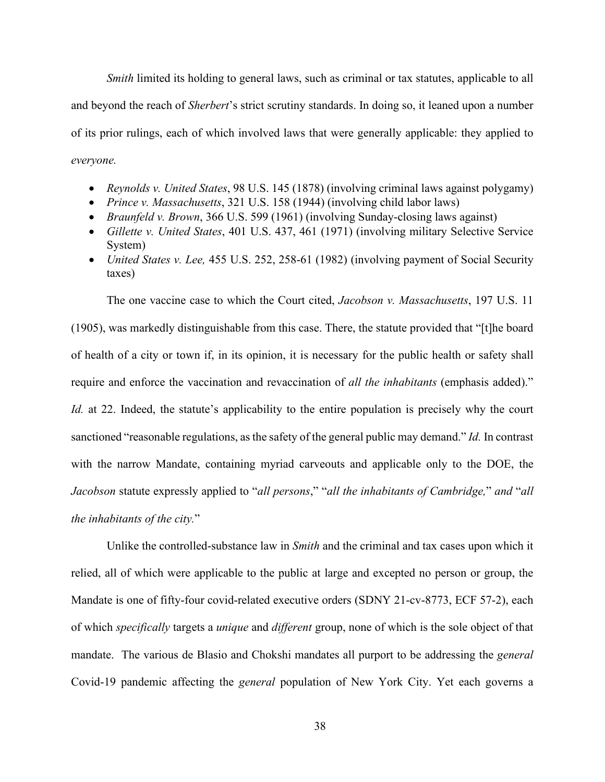*Smith* limited its holding to general laws, such as criminal or tax statutes, applicable to all and beyond the reach of *Sherbert*'s strict scrutiny standards. In doing so, it leaned upon a number of its prior rulings, each of which involved laws that were generally applicable: they applied to *everyone.*

- <span id="page-48-4"></span>• *Reynolds v. United States*, 98 U.S. 145 (1878) (involving criminal laws against polygamy)
- <span id="page-48-3"></span>• *Prince v. Massachusetts*, 321 U.S. 158 (1944) (involving child labor laws)
- <span id="page-48-0"></span>• *Braunfeld v. Brown*, 366 U.S. 599 (1961) (involving Sunday-closing laws against)
- <span id="page-48-1"></span>• *Gillette v. United States*, 401 U.S. 437, 461 (1971) (involving military Selective Service System)
- <span id="page-48-5"></span>• *United States v. Lee,* 455 U.S. 252, 258-61 (1982) (involving payment of Social Security taxes)

<span id="page-48-2"></span>The one vaccine case to which the Court cited, *Jacobson v. Massachusetts*, 197 U.S. 11

(1905), was markedly distinguishable from this case. There, the statute provided that "[t]he board of health of a city or town if, in its opinion, it is necessary for the public health or safety shall require and enforce the vaccination and revaccination of *all the inhabitants* (emphasis added)." *Id.* at 22. Indeed, the statute's applicability to the entire population is precisely why the court sanctioned "reasonable regulations, as the safety of the general public may demand." *Id.* In contrast with the narrow Mandate, containing myriad carveouts and applicable only to the DOE, the *Jacobson* statute expressly applied to "*all persons*," "*all the inhabitants of Cambridge,*" *and* "*all the inhabitants of the city.*"

Unlike the controlled-substance law in *Smith* and the criminal and tax cases upon which it relied, all of which were applicable to the public at large and excepted no person or group, the Mandate is one of fifty-four covid-related executive orders (SDNY 21-cv-8773, ECF 57-2), each of which *specifically* targets a *unique* and *different* group, none of which is the sole object of that mandate. The various de Blasio and Chokshi mandates all purport to be addressing the *general* Covid-19 pandemic affecting the *general* population of New York City. Yet each governs a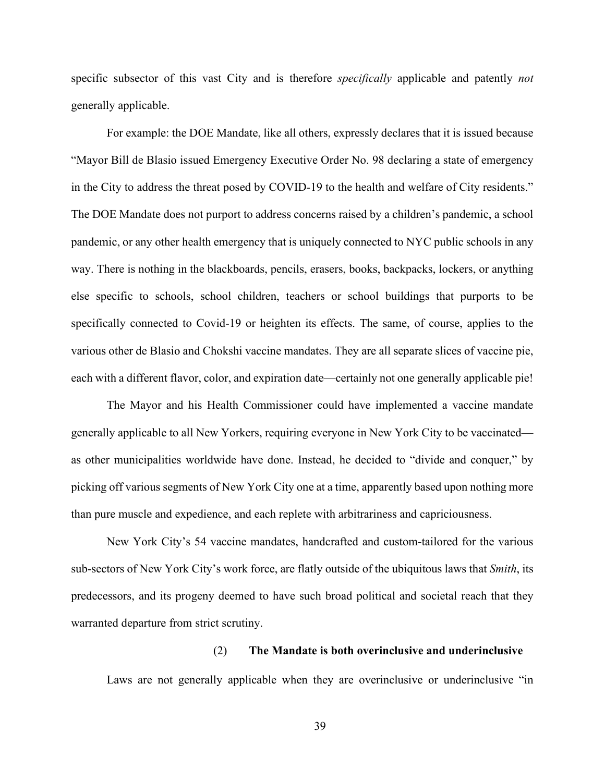specific subsector of this vast City and is therefore *specifically* applicable and patently *not* generally applicable.

For example: the DOE Mandate, like all others, expressly declares that it is issued because "Mayor Bill de Blasio issued Emergency Executive Order No. 98 declaring a state of emergency in the City to address the threat posed by COVID-19 to the health and welfare of City residents." The DOE Mandate does not purport to address concerns raised by a children's pandemic, a school pandemic, or any other health emergency that is uniquely connected to NYC public schools in any way. There is nothing in the blackboards, pencils, erasers, books, backpacks, lockers, or anything else specific to schools, school children, teachers or school buildings that purports to be specifically connected to Covid-19 or heighten its effects. The same, of course, applies to the various other de Blasio and Chokshi vaccine mandates. They are all separate slices of vaccine pie, each with a different flavor, color, and expiration date—certainly not one generally applicable pie!

The Mayor and his Health Commissioner could have implemented a vaccine mandate generally applicable to all New Yorkers, requiring everyone in New York City to be vaccinated as other municipalities worldwide have done. Instead, he decided to "divide and conquer," by picking off various segments of New York City one at a time, apparently based upon nothing more than pure muscle and expedience, and each replete with arbitrariness and capriciousness.

New York City's 54 vaccine mandates, handcrafted and custom-tailored for the various sub-sectors of New York City's work force, are flatly outside of the ubiquitous laws that *Smith*, its predecessors, and its progeny deemed to have such broad political and societal reach that they warranted departure from strict scrutiny.

#### (2) **The Mandate is both overinclusive and underinclusive**

Laws are not generally applicable when they are overinclusive or underinclusive "in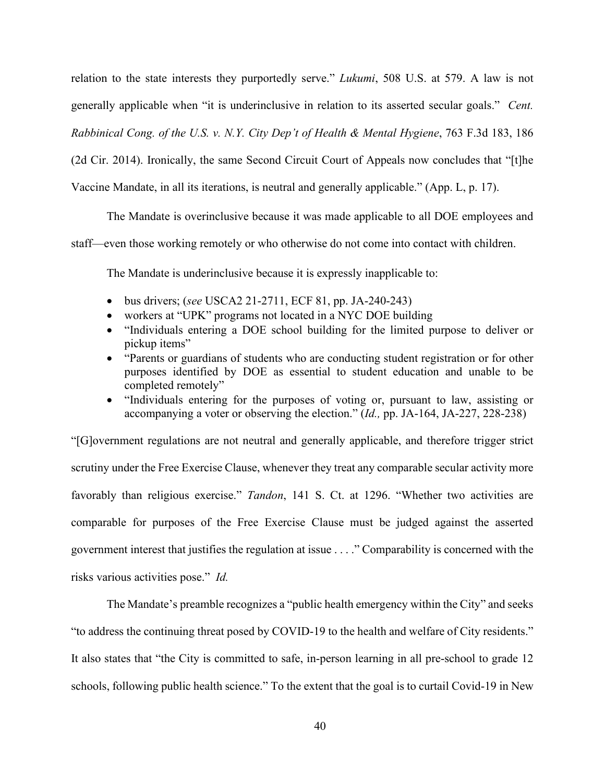<span id="page-50-1"></span>relation to the state interests they purportedly serve." *Lukumi*, 508 U.S. at 579. A law is not generally applicable when "it is underinclusive in relation to its asserted secular goals." *Cent. Rabbinical Cong. of the U.S. v. N.Y. City Dep't of Health & Mental Hygiene*, 763 F.3d 183, 186 (2d Cir. 2014). Ironically, the same Second Circuit Court of Appeals now concludes that "[t]he Vaccine Mandate, in all its iterations, is neutral and generally applicable." (App. L, p. 17).

The Mandate is overinclusive because it was made applicable to all DOE employees and staff—even those working remotely or who otherwise do not come into contact with children.

<span id="page-50-0"></span>The Mandate is underinclusive because it is expressly inapplicable to:

- bus drivers; (*see* USCA2 21-2711, ECF 81, pp. JA-240-243)
- workers at "UPK" programs not located in a NYC DOE building
- "Individuals entering a DOE school building for the limited purpose to deliver or pickup items"
- "Parents or guardians of students who are conducting student registration or for other purposes identified by DOE as essential to student education and unable to be completed remotely"
- <span id="page-50-2"></span>• "Individuals entering for the purposes of voting or, pursuant to law, assisting or accompanying a voter or observing the election." (*Id.,* pp. JA-164, JA-227, 228-238)

"[G]overnment regulations are not neutral and generally applicable, and therefore trigger strict scrutiny under the Free Exercise Clause, whenever they treat any comparable secular activity more favorably than religious exercise." *Tandon*, 141 S. Ct. at 1296. "Whether two activities are comparable for purposes of the Free Exercise Clause must be judged against the asserted government interest that justifies the regulation at issue . . . ." Comparability is concerned with the risks various activities pose." *Id.*

The Mandate's preamble recognizes a "public health emergency within the City" and seeks "to address the continuing threat posed by COVID-19 to the health and welfare of City residents." It also states that "the City is committed to safe, in-person learning in all pre-school to grade 12 schools, following public health science." To the extent that the goal is to curtail Covid-19 in New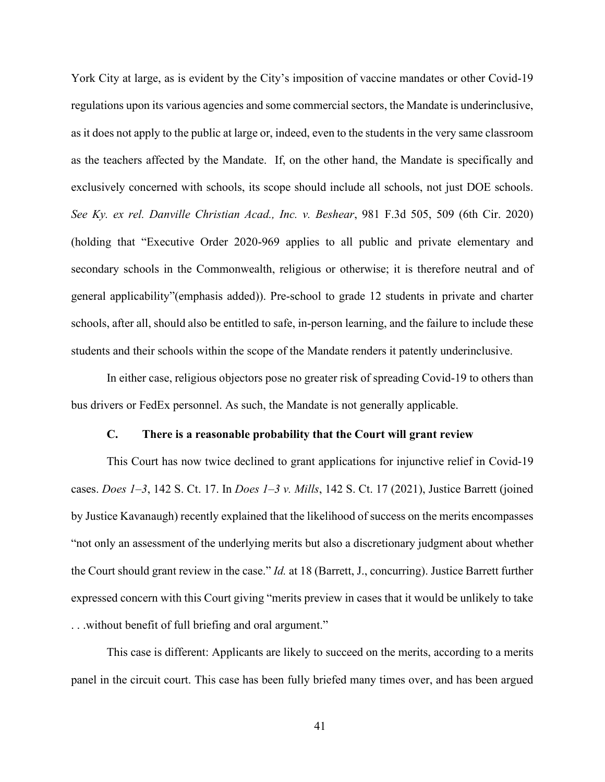<span id="page-51-1"></span>York City at large, as is evident by the City's imposition of vaccine mandates or other Covid-19 regulations upon its various agencies and some commercial sectors, the Mandate is underinclusive, as it does not apply to the public at large or, indeed, even to the students in the very same classroom as the teachers affected by the Mandate. If, on the other hand, the Mandate is specifically and exclusively concerned with schools, its scope should include all schools, not just DOE schools. *See Ky. ex rel. Danville Christian Acad., Inc. v. Beshear*, 981 F.3d 505, 509 (6th Cir. 2020) (holding that "Executive Order 2020-969 applies to all public and private elementary and secondary schools in the Commonwealth, religious or otherwise; it is therefore neutral and of general applicability"(emphasis added)). Pre-school to grade 12 students in private and charter schools, after all, should also be entitled to safe, in-person learning, and the failure to include these students and their schools within the scope of the Mandate renders it patently underinclusive.

In either case, religious objectors pose no greater risk of spreading Covid-19 to others than bus drivers or FedEx personnel. As such, the Mandate is not generally applicable.

## **C. There is a reasonable probability that the Court will grant review**

<span id="page-51-0"></span>This Court has now twice declined to grant applications for injunctive relief in Covid-19 cases. *Does 1–3*, 142 S. Ct. 17. In *Does 1–3 v. Mills*, 142 S. Ct. 17 (2021), Justice Barrett (joined by Justice Kavanaugh) recently explained that the likelihood of success on the merits encompasses "not only an assessment of the underlying merits but also a discretionary judgment about whether the Court should grant review in the case." *Id.* at 18 (Barrett, J., concurring). Justice Barrett further expressed concern with this Court giving "merits preview in cases that it would be unlikely to take . . .without benefit of full briefing and oral argument."

This case is different: Applicants are likely to succeed on the merits, according to a merits panel in the circuit court. This case has been fully briefed many times over, and has been argued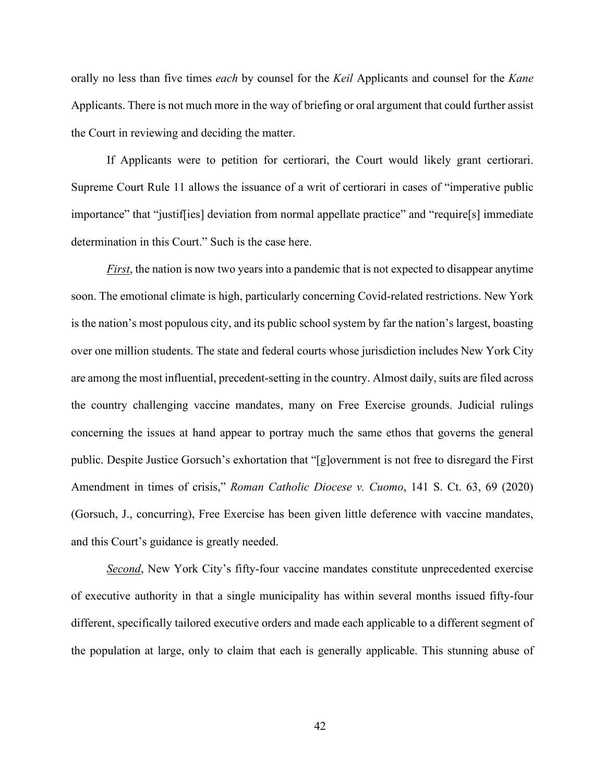orally no less than five times *each* by counsel for the *Keil* Applicants and counsel for the *Kane* Applicants. There is not much more in the way of briefing or oral argument that could further assist the Court in reviewing and deciding the matter.

If Applicants were to petition for certiorari, the Court would likely grant certiorari. Supreme Court Rule 11 allows the issuance of a writ of certiorari in cases of "imperative public importance" that "justif[ies] deviation from normal appellate practice" and "require[s] immediate determination in this Court." Such is the case here.

*First*, the nation is now two years into a pandemic that is not expected to disappear anytime soon. The emotional climate is high, particularly concerning Covid-related restrictions. New York is the nation's most populous city, and its public school system by far the nation's largest, boasting over one million students. The state and federal courts whose jurisdiction includes New York City are among the most influential, precedent-setting in the country. Almost daily, suits are filed across the country challenging vaccine mandates, many on Free Exercise grounds. Judicial rulings concerning the issues at hand appear to portray much the same ethos that governs the general public. Despite Justice Gorsuch's exhortation that "[g]overnment is not free to disregard the First Amendment in times of crisis," *Roman Catholic Diocese v. Cuomo*, 141 S. Ct. 63, 69 (2020) (Gorsuch, J., concurring), Free Exercise has been given little deference with vaccine mandates, and this Court's guidance is greatly needed.

<span id="page-52-0"></span>*Second*, New York City's fifty-four vaccine mandates constitute unprecedented exercise of executive authority in that a single municipality has within several months issued fifty-four different, specifically tailored executive orders and made each applicable to a different segment of the population at large, only to claim that each is generally applicable. This stunning abuse of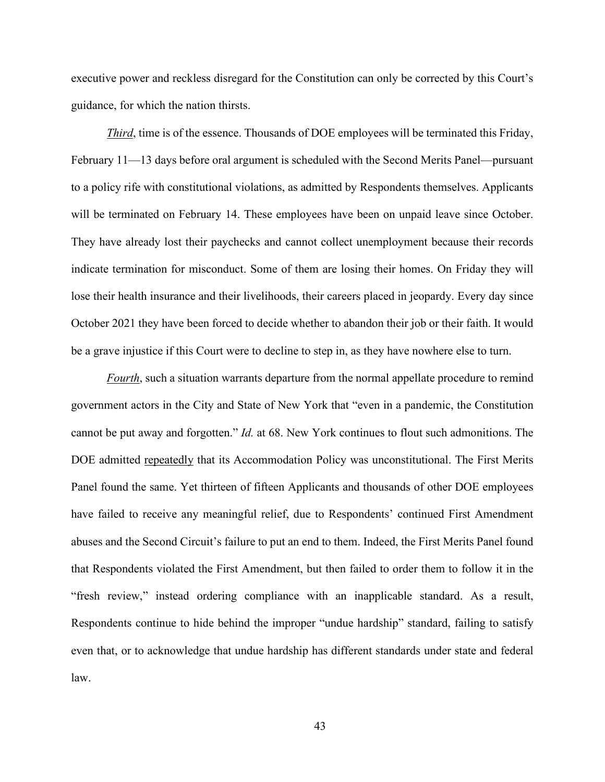executive power and reckless disregard for the Constitution can only be corrected by this Court's guidance, for which the nation thirsts.

*Third*, time is of the essence. Thousands of DOE employees will be terminated this Friday, February 11—13 days before oral argument is scheduled with the Second Merits Panel—pursuant to a policy rife with constitutional violations, as admitted by Respondents themselves. Applicants will be terminated on February 14. These employees have been on unpaid leave since October. They have already lost their paychecks and cannot collect unemployment because their records indicate termination for misconduct. Some of them are losing their homes. On Friday they will lose their health insurance and their livelihoods, their careers placed in jeopardy. Every day since October 2021 they have been forced to decide whether to abandon their job or their faith. It would be a grave injustice if this Court were to decline to step in, as they have nowhere else to turn.

<span id="page-53-0"></span>*Fourth*, such a situation warrants departure from the normal appellate procedure to remind government actors in the City and State of New York that "even in a pandemic, the Constitution cannot be put away and forgotten." *Id.* at 68. New York continues to flout such admonitions. The DOE admitted repeatedly that its Accommodation Policy was unconstitutional. The First Merits Panel found the same. Yet thirteen of fifteen Applicants and thousands of other DOE employees have failed to receive any meaningful relief, due to Respondents' continued First Amendment abuses and the Second Circuit's failure to put an end to them. Indeed, the First Merits Panel found that Respondents violated the First Amendment, but then failed to order them to follow it in the "fresh review," instead ordering compliance with an inapplicable standard. As a result, Respondents continue to hide behind the improper "undue hardship" standard, failing to satisfy even that, or to acknowledge that undue hardship has different standards under state and federal law.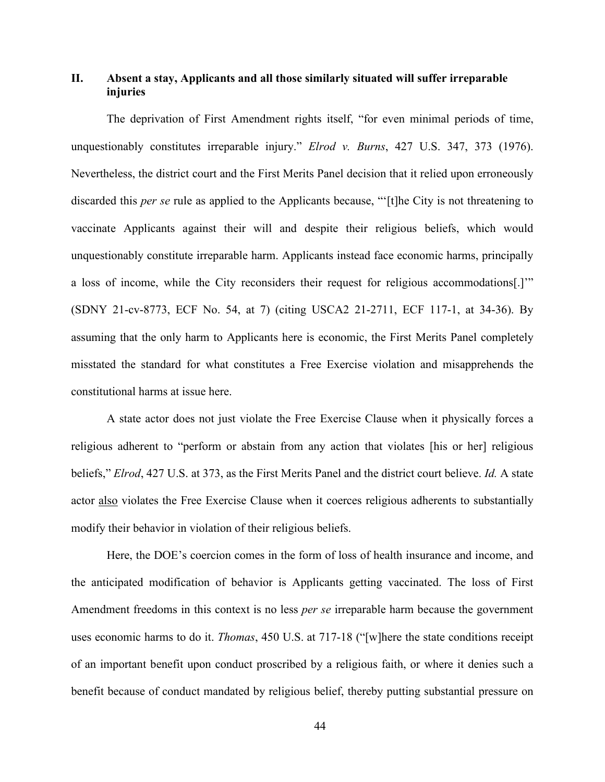## **II. Absent a stay, Applicants and all those similarly situated will suffer irreparable injuries**

<span id="page-54-0"></span>The deprivation of First Amendment rights itself, "for even minimal periods of time, unquestionably constitutes irreparable injury." *Elrod v. Burns*, 427 U.S. 347, 373 (1976). Nevertheless, the district court and the First Merits Panel decision that it relied upon erroneously discarded this *per se* rule as applied to the Applicants because, "'[t]he City is not threatening to vaccinate Applicants against their will and despite their religious beliefs, which would unquestionably constitute irreparable harm. Applicants instead face economic harms, principally a loss of income, while the City reconsiders their request for religious accommodations[.]'" (SDNY 21-cv-8773, ECF No. 54, at 7) (citing USCA2 21-2711, ECF 117-1, at 34-36). By assuming that the only harm to Applicants here is economic, the First Merits Panel completely misstated the standard for what constitutes a Free Exercise violation and misapprehends the constitutional harms at issue here.

A state actor does not just violate the Free Exercise Clause when it physically forces a religious adherent to "perform or abstain from any action that violates [his or her] religious beliefs," *Elrod*, 427 U.S. at 373, as the First Merits Panel and the district court believe. *Id.* A state actor also violates the Free Exercise Clause when it coerces religious adherents to substantially modify their behavior in violation of their religious beliefs.

<span id="page-54-1"></span>Here, the DOE's coercion comes in the form of loss of health insurance and income, and the anticipated modification of behavior is Applicants getting vaccinated. The loss of First Amendment freedoms in this context is no less *per se* irreparable harm because the government uses economic harms to do it. *Thomas*, 450 U.S. at 717-18 ("[w]here the state conditions receipt of an important benefit upon conduct proscribed by a religious faith, or where it denies such a benefit because of conduct mandated by religious belief, thereby putting substantial pressure on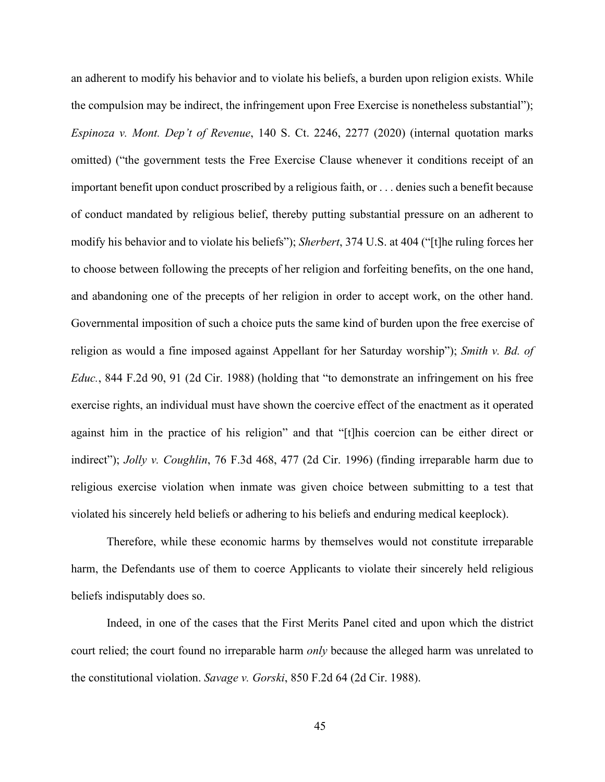<span id="page-55-3"></span><span id="page-55-0"></span>an adherent to modify his behavior and to violate his beliefs, a burden upon religion exists. While the compulsion may be indirect, the infringement upon Free Exercise is nonetheless substantial"); *Espinoza v. Mont. Dep't of Revenue*, 140 S. Ct. 2246, 2277 (2020) (internal quotation marks omitted) ("the government tests the Free Exercise Clause whenever it conditions receipt of an important benefit upon conduct proscribed by a religious faith, or . . . denies such a benefit because of conduct mandated by religious belief, thereby putting substantial pressure on an adherent to modify his behavior and to violate his beliefs"); *Sherbert*, 374 U.S. at 404 ("[t]he ruling forces her to choose between following the precepts of her religion and forfeiting benefits, on the one hand, and abandoning one of the precepts of her religion in order to accept work, on the other hand. Governmental imposition of such a choice puts the same kind of burden upon the free exercise of religion as would a fine imposed against Appellant for her Saturday worship"); *Smith v. Bd. of Educ.*, 844 F.2d 90, 91 (2d Cir. 1988) (holding that "to demonstrate an infringement on his free exercise rights, an individual must have shown the coercive effect of the enactment as it operated against him in the practice of his religion" and that "[t]his coercion can be either direct or indirect"); *Jolly v. Coughlin*, 76 F.3d 468, 477 (2d Cir. 1996) (finding irreparable harm due to religious exercise violation when inmate was given choice between submitting to a test that violated his sincerely held beliefs or adhering to his beliefs and enduring medical keeplock).

<span id="page-55-4"></span><span id="page-55-1"></span>Therefore, while these economic harms by themselves would not constitute irreparable harm, the Defendants use of them to coerce Applicants to violate their sincerely held religious beliefs indisputably does so.

<span id="page-55-2"></span>Indeed, in one of the cases that the First Merits Panel cited and upon which the district court relied; the court found no irreparable harm *only* because the alleged harm was unrelated to the constitutional violation. *Savage v. Gorski*, 850 F.2d 64 (2d Cir. 1988).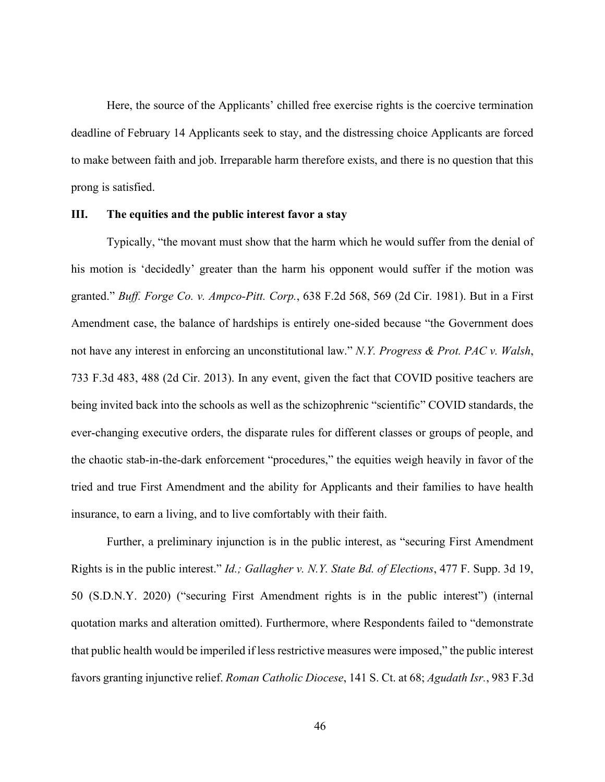Here, the source of the Applicants' chilled free exercise rights is the coercive termination deadline of February 14 Applicants seek to stay, and the distressing choice Applicants are forced to make between faith and job. Irreparable harm therefore exists, and there is no question that this prong is satisfied.

#### **III. The equities and the public interest favor a stay**

<span id="page-56-2"></span><span id="page-56-0"></span>Typically, "the movant must show that the harm which he would suffer from the denial of his motion is 'decidedly' greater than the harm his opponent would suffer if the motion was granted." *Buff. Forge Co. v. Ampco-Pitt. Corp.*, 638 F.2d 568, 569 (2d Cir. 1981). But in a First Amendment case, the balance of hardships is entirely one-sided because "the Government does not have any interest in enforcing an unconstitutional law." *N.Y. Progress & Prot. PAC v. Walsh*, 733 F.3d 483, 488 (2d Cir. 2013). In any event, given the fact that COVID positive teachers are being invited back into the schools as well as the schizophrenic "scientific" COVID standards, the ever-changing executive orders, the disparate rules for different classes or groups of people, and the chaotic stab-in-the-dark enforcement "procedures," the equities weigh heavily in favor of the tried and true First Amendment and the ability for Applicants and their families to have health insurance, to earn a living, and to live comfortably with their faith.

<span id="page-56-3"></span><span id="page-56-1"></span>Further, a preliminary injunction is in the public interest, as "securing First Amendment Rights is in the public interest." *Id.; Gallagher v. N.Y. State Bd. of Elections*, 477 F. Supp. 3d 19, 50 (S.D.N.Y. 2020) ("securing First Amendment rights is in the public interest") (internal quotation marks and alteration omitted). Furthermore, where Respondents failed to "demonstrate that public health would be imperiled if less restrictive measures were imposed," the public interest favors granting injunctive relief. *Roman Catholic Diocese*, 141 S. Ct. at 68; *Agudath Isr.*, 983 F.3d